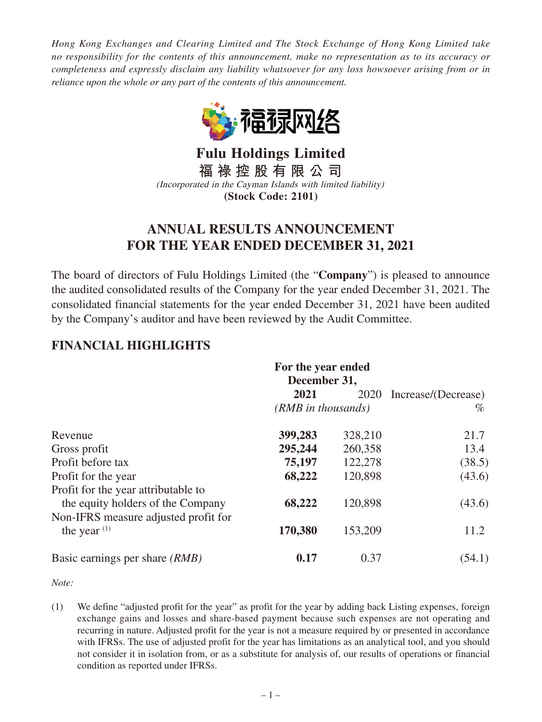*Hong Kong Exchanges and Clearing Limited and The Stock Exchange of Hong Kong Limited take no responsibility for the contents of this announcement, make no representation as to its accuracy or completeness and expressly disclaim any liability whatsoever for any loss howsoever arising from or in reliance upon the whole or any part of the contents of this announcement.*



**Fulu Holdings Limited 福 祿 控 股 有 限 公 司** (Incorporated in the Cayman Islands with limited liability) **(Stock Code: 2101)**

# **ANNUAL RESULTS ANNOUNCEMENT FOR THE YEAR ENDED DECEMBER 31, 2021**

The board of directors of Fulu Holdings Limited (the "**Company**") is pleased to announce the audited consolidated results of the Company for the year ended December 31, 2021. The consolidated financial statements for the year ended December 31, 2021 have been audited by the Company's auditor and have been reviewed by the Audit Committee.

# **FINANCIAL HIGHLIGHTS**

|                                                                          | For the year ended<br>December 31, |         |                          |
|--------------------------------------------------------------------------|------------------------------------|---------|--------------------------|
|                                                                          | 2021                               |         | 2020 Increase/(Decrease) |
|                                                                          | $(RMB$ in thousands)               |         | $\%$                     |
| Revenue                                                                  | 399,283                            | 328,210 | 21.7                     |
| Gross profit                                                             | 295,244                            | 260,358 | 13.4                     |
| Profit before tax                                                        | 75,197                             | 122,278 | (38.5)                   |
| Profit for the year                                                      | 68,222                             | 120,898 | (43.6)                   |
| Profit for the year attributable to<br>the equity holders of the Company | 68,222                             | 120,898 | (43.6)                   |
| Non-IFRS measure adjusted profit for<br>the year $(1)$                   | 170,380                            | 153,209 | 11.2                     |
| Basic earnings per share <i>(RMB)</i>                                    | 0.17                               | 0.37    | (54.1)                   |

*Note:*

(1) We define "adjusted profit for the year" as profit for the year by adding back Listing expenses, foreign exchange gains and losses and share-based payment because such expenses are not operating and recurring in nature. Adjusted profit for the year is not a measure required by or presented in accordance with IFRSs. The use of adjusted profit for the year has limitations as an analytical tool, and you should not consider it in isolation from, or as a substitute for analysis of, our results of operations or financial condition as reported under IFRSs.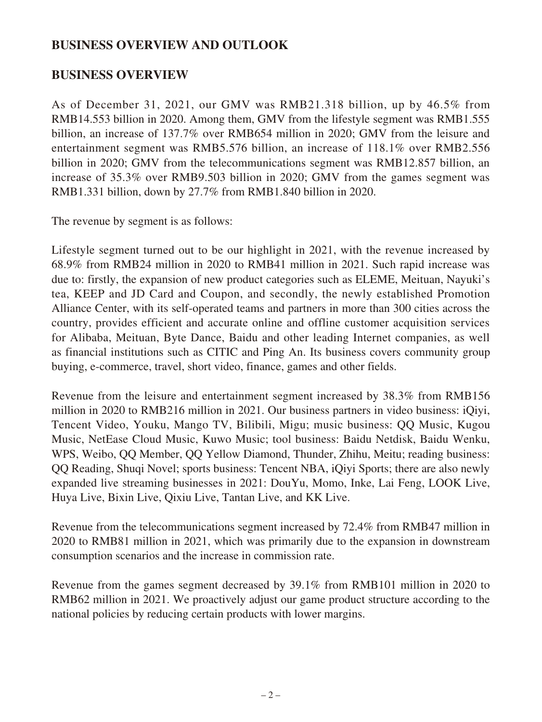## **BUSINESS OVERVIEW AND OUTLOOK**

### **BUSINESS OVERVIEW**

As of December 31, 2021, our GMV was RMB21.318 billion, up by 46.5% from RMB14.553 billion in 2020. Among them, GMV from the lifestyle segment was RMB1.555 billion, an increase of 137.7% over RMB654 million in 2020; GMV from the leisure and entertainment segment was RMB5.576 billion, an increase of 118.1% over RMB2.556 billion in 2020; GMV from the telecommunications segment was RMB12.857 billion, an increase of 35.3% over RMB9.503 billion in 2020; GMV from the games segment was RMB1.331 billion, down by 27.7% from RMB1.840 billion in 2020.

The revenue by segment is as follows:

Lifestyle segment turned out to be our highlight in 2021, with the revenue increased by 68.9% from RMB24 million in 2020 to RMB41 million in 2021. Such rapid increase was due to: firstly, the expansion of new product categories such as ELEME, Meituan, Nayuki's tea, KEEP and JD Card and Coupon, and secondly, the newly established Promotion Alliance Center, with its self-operated teams and partners in more than 300 cities across the country, provides efficient and accurate online and offline customer acquisition services for Alibaba, Meituan, Byte Dance, Baidu and other leading Internet companies, as well as financial institutions such as CITIC and Ping An. Its business covers community group buying, e-commerce, travel, short video, finance, games and other fields.

Revenue from the leisure and entertainment segment increased by 38.3% from RMB156 million in 2020 to RMB216 million in 2021. Our business partners in video business: iQiyi, Tencent Video, Youku, Mango TV, Bilibili, Migu; music business: QQ Music, Kugou Music, NetEase Cloud Music, Kuwo Music; tool business: Baidu Netdisk, Baidu Wenku, WPS, Weibo, QQ Member, QQ Yellow Diamond, Thunder, Zhihu, Meitu; reading business: QQ Reading, Shuqi Novel; sports business: Tencent NBA, iQiyi Sports; there are also newly expanded live streaming businesses in 2021: DouYu, Momo, Inke, Lai Feng, LOOK Live, Huya Live, Bixin Live, Qixiu Live, Tantan Live, and KK Live.

Revenue from the telecommunications segment increased by 72.4% from RMB47 million in 2020 to RMB81 million in 2021, which was primarily due to the expansion in downstream consumption scenarios and the increase in commission rate.

Revenue from the games segment decreased by 39.1% from RMB101 million in 2020 to RMB62 million in 2021. We proactively adjust our game product structure according to the national policies by reducing certain products with lower margins.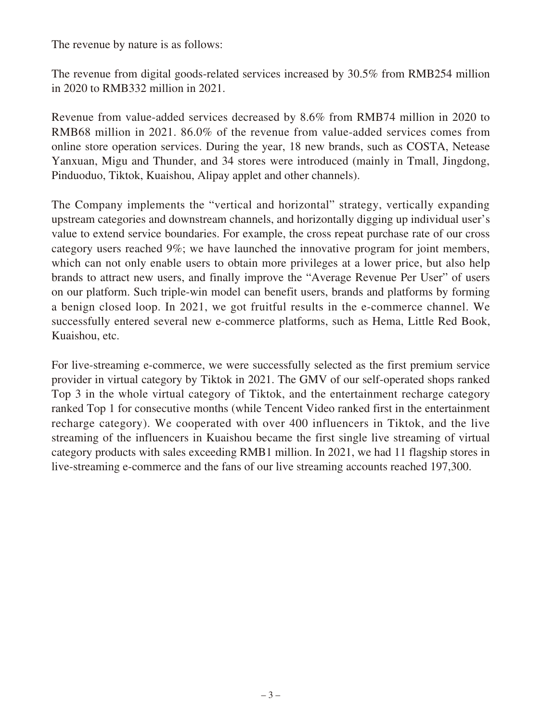The revenue by nature is as follows:

The revenue from digital goods-related services increased by 30.5% from RMB254 million in 2020 to RMB332 million in 2021.

Revenue from value-added services decreased by 8.6% from RMB74 million in 2020 to RMB68 million in 2021. 86.0% of the revenue from value-added services comes from online store operation services. During the year, 18 new brands, such as COSTA, Netease Yanxuan, Migu and Thunder, and 34 stores were introduced (mainly in Tmall, Jingdong, Pinduoduo, Tiktok, Kuaishou, Alipay applet and other channels).

The Company implements the "vertical and horizontal" strategy, vertically expanding upstream categories and downstream channels, and horizontally digging up individual user's value to extend service boundaries. For example, the cross repeat purchase rate of our cross category users reached 9%; we have launched the innovative program for joint members, which can not only enable users to obtain more privileges at a lower price, but also help brands to attract new users, and finally improve the "Average Revenue Per User" of users on our platform. Such triple-win model can benefit users, brands and platforms by forming a benign closed loop. In 2021, we got fruitful results in the e-commerce channel. We successfully entered several new e-commerce platforms, such as Hema, Little Red Book, Kuaishou, etc.

For live-streaming e-commerce, we were successfully selected as the first premium service provider in virtual category by Tiktok in 2021. The GMV of our self-operated shops ranked Top 3 in the whole virtual category of Tiktok, and the entertainment recharge category ranked Top 1 for consecutive months (while Tencent Video ranked first in the entertainment recharge category). We cooperated with over 400 influencers in Tiktok, and the live streaming of the influencers in Kuaishou became the first single live streaming of virtual category products with sales exceeding RMB1 million. In 2021, we had 11 flagship stores in live-streaming e-commerce and the fans of our live streaming accounts reached 197,300.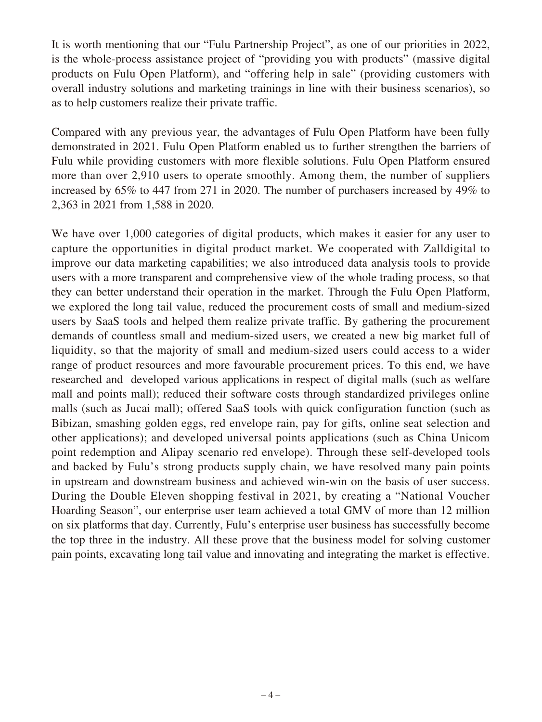It is worth mentioning that our "Fulu Partnership Project", as one of our priorities in 2022, is the whole-process assistance project of "providing you with products" (massive digital products on Fulu Open Platform), and "offering help in sale" (providing customers with overall industry solutions and marketing trainings in line with their business scenarios), so as to help customers realize their private traffic.

Compared with any previous year, the advantages of Fulu Open Platform have been fully demonstrated in 2021. Fulu Open Platform enabled us to further strengthen the barriers of Fulu while providing customers with more flexible solutions. Fulu Open Platform ensured more than over 2,910 users to operate smoothly. Among them, the number of suppliers increased by 65% to 447 from 271 in 2020. The number of purchasers increased by 49% to 2,363 in 2021 from 1,588 in 2020.

We have over 1,000 categories of digital products, which makes it easier for any user to capture the opportunities in digital product market. We cooperated with Zalldigital to improve our data marketing capabilities; we also introduced data analysis tools to provide users with a more transparent and comprehensive view of the whole trading process, so that they can better understand their operation in the market. Through the Fulu Open Platform, we explored the long tail value, reduced the procurement costs of small and medium-sized users by SaaS tools and helped them realize private traffic. By gathering the procurement demands of countless small and medium-sized users, we created a new big market full of liquidity, so that the majority of small and medium-sized users could access to a wider range of product resources and more favourable procurement prices. To this end, we have researched and developed various applications in respect of digital malls (such as welfare mall and points mall); reduced their software costs through standardized privileges online malls (such as Jucai mall); offered SaaS tools with quick configuration function (such as Bibizan, smashing golden eggs, red envelope rain, pay for gifts, online seat selection and other applications); and developed universal points applications (such as China Unicom point redemption and Alipay scenario red envelope). Through these self-developed tools and backed by Fulu's strong products supply chain, we have resolved many pain points in upstream and downstream business and achieved win-win on the basis of user success. During the Double Eleven shopping festival in 2021, by creating a "National Voucher Hoarding Season", our enterprise user team achieved a total GMV of more than 12 million on six platforms that day. Currently, Fulu's enterprise user business has successfully become the top three in the industry. All these prove that the business model for solving customer pain points, excavating long tail value and innovating and integrating the market is effective.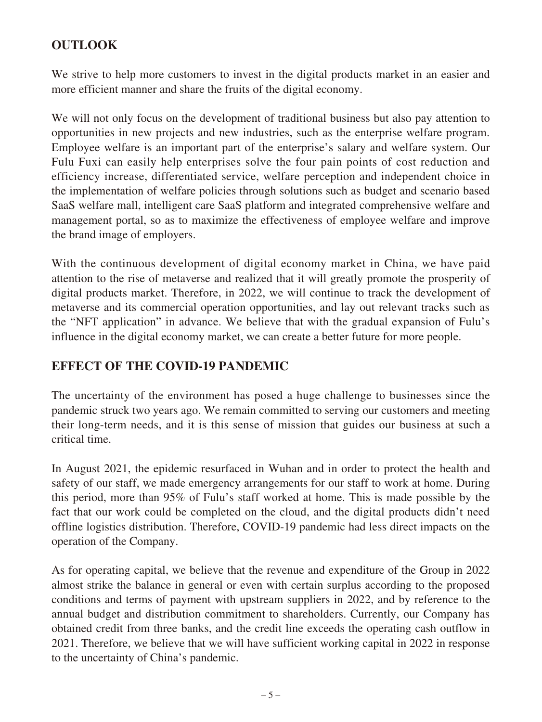# **OUTLOOK**

We strive to help more customers to invest in the digital products market in an easier and more efficient manner and share the fruits of the digital economy.

We will not only focus on the development of traditional business but also pay attention to opportunities in new projects and new industries, such as the enterprise welfare program. Employee welfare is an important part of the enterprise's salary and welfare system. Our Fulu Fuxi can easily help enterprises solve the four pain points of cost reduction and efficiency increase, differentiated service, welfare perception and independent choice in the implementation of welfare policies through solutions such as budget and scenario based SaaS welfare mall, intelligent care SaaS platform and integrated comprehensive welfare and management portal, so as to maximize the effectiveness of employee welfare and improve the brand image of employers.

With the continuous development of digital economy market in China, we have paid attention to the rise of metaverse and realized that it will greatly promote the prosperity of digital products market. Therefore, in 2022, we will continue to track the development of metaverse and its commercial operation opportunities, and lay out relevant tracks such as the "NFT application" in advance. We believe that with the gradual expansion of Fulu's influence in the digital economy market, we can create a better future for more people.

# **EFFECT OF THE COVID-19 PANDEMIC**

The uncertainty of the environment has posed a huge challenge to businesses since the pandemic struck two years ago. We remain committed to serving our customers and meeting their long-term needs, and it is this sense of mission that guides our business at such a critical time.

In August 2021, the epidemic resurfaced in Wuhan and in order to protect the health and safety of our staff, we made emergency arrangements for our staff to work at home. During this period, more than 95% of Fulu's staff worked at home. This is made possible by the fact that our work could be completed on the cloud, and the digital products didn't need offline logistics distribution. Therefore, COVID-19 pandemic had less direct impacts on the operation of the Company.

As for operating capital, we believe that the revenue and expenditure of the Group in 2022 almost strike the balance in general or even with certain surplus according to the proposed conditions and terms of payment with upstream suppliers in 2022, and by reference to the annual budget and distribution commitment to shareholders. Currently, our Company has obtained credit from three banks, and the credit line exceeds the operating cash outflow in 2021. Therefore, we believe that we will have sufficient working capital in 2022 in response to the uncertainty of China's pandemic.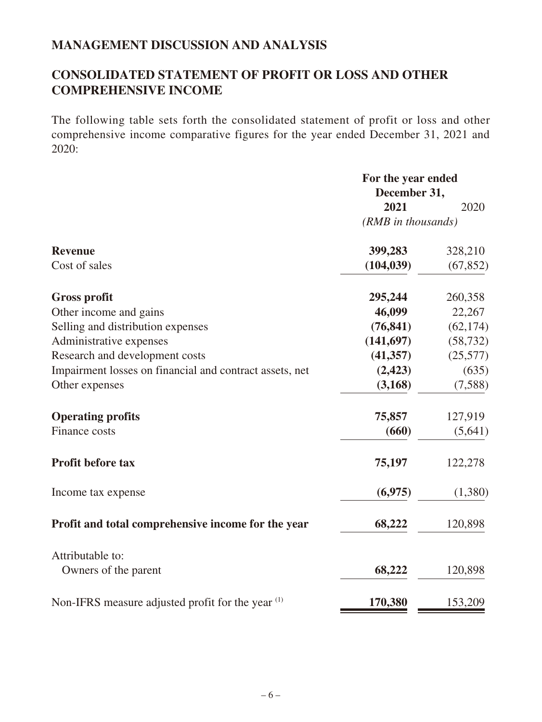# **MANAGEMENT DISCUSSION AND ANALYSIS**

# **CONSOLIDATED STATEMENT OF PROFIT OR LOSS AND OTHER COMPREHENSIVE INCOME**

The following table sets forth the consolidated statement of profit or loss and other comprehensive income comparative figures for the year ended December 31, 2021 and 2020:

|                                                              | For the year ended |           |  |
|--------------------------------------------------------------|--------------------|-----------|--|
|                                                              | December 31,       |           |  |
|                                                              | 2021               | 2020      |  |
|                                                              | (RMB in thousands) |           |  |
| <b>Revenue</b>                                               | 399,283            | 328,210   |  |
| Cost of sales                                                | (104, 039)         | (67, 852) |  |
| <b>Gross profit</b>                                          | 295,244            | 260,358   |  |
| Other income and gains                                       | 46,099             | 22,267    |  |
| Selling and distribution expenses                            | (76, 841)          | (62, 174) |  |
| Administrative expenses                                      | (141, 697)         | (58, 732) |  |
| Research and development costs                               | (41, 357)          | (25,577)  |  |
| Impairment losses on financial and contract assets, net      | (2, 423)           | (635)     |  |
| Other expenses                                               | (3,168)            | (7,588)   |  |
| <b>Operating profits</b>                                     | 75,857             | 127,919   |  |
| Finance costs                                                | (660)              | (5,641)   |  |
| <b>Profit before tax</b>                                     | 75,197             | 122,278   |  |
| Income tax expense                                           | (6,975)            | (1,380)   |  |
| Profit and total comprehensive income for the year           | 68,222             | 120,898   |  |
| Attributable to:                                             |                    |           |  |
| Owners of the parent                                         | 68,222             | 120,898   |  |
| Non-IFRS measure adjusted profit for the year <sup>(1)</sup> | 170,380            | 153,209   |  |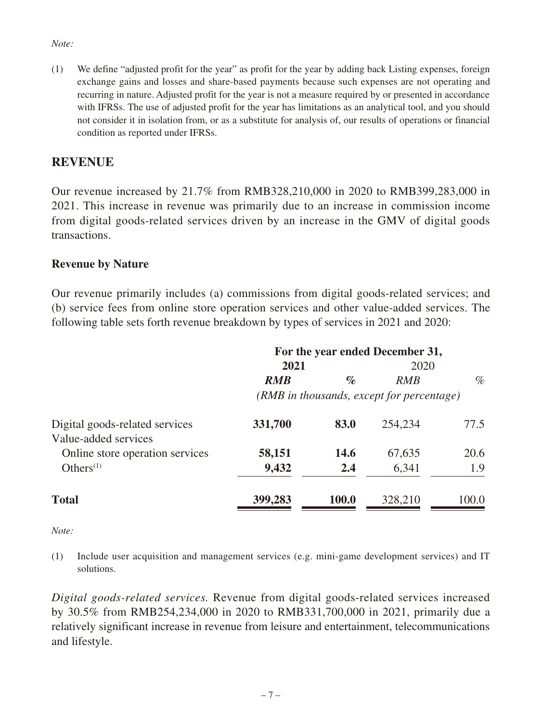#### *Note:*

(1) We define "adjusted profit for the year" as profit for the year by adding back Listing expenses, foreign exchange gains and losses and share-based payments because such expenses are not operating and recurring in nature. Adjusted profit for the year is not a measure required by or presented in accordance with IFRSs. The use of adjusted profit for the year has limitations as an analytical tool, and you should not consider it in isolation from, or as a substitute for analysis of, our results of operations or financial condition as reported under IFRSs.

### **REVENUE**

Our revenue increased by 21.7% from RMB328,210,000 in 2020 to RMB399,283,000 in 2021. This increase in revenue was primarily due to an increase in commission income from digital goods-related services driven by an increase in the GMV of digital goods transactions.

#### **Revenue by Nature**

Our revenue primarily includes (a) commissions from digital goods-related services; and (b) service fees from online store operation services and other value-added services. The following table sets forth revenue breakdown by types of services in 2021 and 2020:

|                                 | For the year ended December 31,           |              |            |       |  |
|---------------------------------|-------------------------------------------|--------------|------------|-------|--|
|                                 | 2021                                      |              | 2020       |       |  |
|                                 | <b>RMB</b>                                | $\%$         | <b>RMB</b> | $\%$  |  |
|                                 | (RMB in thousands, except for percentage) |              |            |       |  |
| Digital goods-related services  | 331,700                                   | 83.0         | 254,234    | 77.5  |  |
| Value-added services            |                                           |              |            |       |  |
| Online store operation services | 58,151                                    | 14.6         | 67,635     | 20.6  |  |
| Others $(1)$                    | 9,432                                     | 2.4          | 6,341      | 1.9   |  |
| <b>Total</b>                    | 399,283                                   | <b>100.0</b> | 328,210    | 100.0 |  |

#### *Note:*

(1) Include user acquisition and management services (e.g. mini-game development services) and IT solutions.

*Digital goods-related services.* Revenue from digital goods-related services increased by 30.5% from RMB254,234,000 in 2020 to RMB331,700,000 in 2021, primarily due a relatively significant increase in revenue from leisure and entertainment, telecommunications and lifestyle.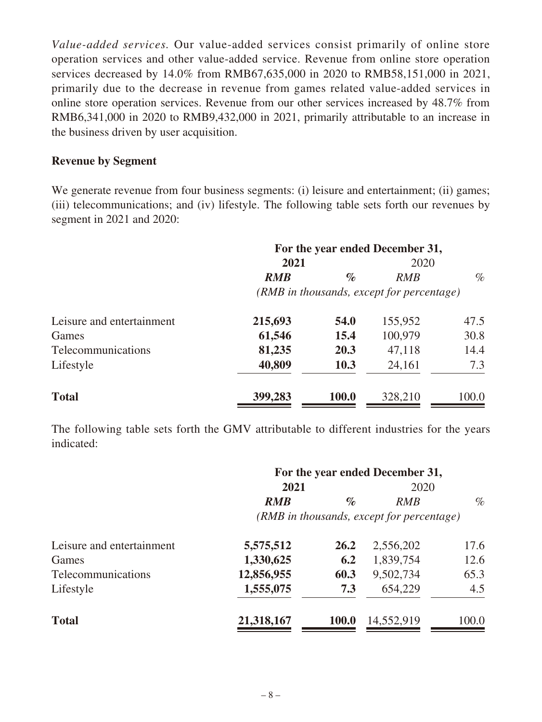*Value-added services.* Our value-added services consist primarily of online store operation services and other value-added service. Revenue from online store operation services decreased by 14.0% from RMB67,635,000 in 2020 to RMB58,151,000 in 2021, primarily due to the decrease in revenue from games related value-added services in online store operation services. Revenue from our other services increased by 48.7% from RMB6,341,000 in 2020 to RMB9,432,000 in 2021, primarily attributable to an increase in the business driven by user acquisition.

#### **Revenue by Segment**

We generate revenue from four business segments: (i) leisure and entertainment; (ii) games; (iii) telecommunications; and (iv) lifestyle. The following table sets forth our revenues by segment in 2021 and 2020:

|                           |                                           |       | For the year ended December 31, |       |  |
|---------------------------|-------------------------------------------|-------|---------------------------------|-------|--|
|                           | 2021                                      |       | 2020                            |       |  |
|                           | <b>RMB</b>                                | $\%$  | RMB                             | $\%$  |  |
|                           | (RMB in thousands, except for percentage) |       |                                 |       |  |
| Leisure and entertainment | 215,693                                   | 54.0  | 155,952                         | 47.5  |  |
| Games                     | 61,546                                    | 15.4  | 100,979                         | 30.8  |  |
| Telecommunications        | 81,235                                    | 20.3  | 47,118                          | 14.4  |  |
| Lifestyle                 | 40,809                                    | 10.3  | 24,161                          | 7.3   |  |
| <b>Total</b>              | 399,283                                   | 100.0 | 328,210                         | 100.0 |  |

The following table sets forth the GMV attributable to different industries for the years indicated:

|                           | For the year ended December 31,           |              |            |       |  |
|---------------------------|-------------------------------------------|--------------|------------|-------|--|
|                           | 2021                                      |              | 2020       |       |  |
|                           | <b>RMB</b>                                | $\%$         | RMB        | $\%$  |  |
|                           | (RMB in thousands, except for percentage) |              |            |       |  |
| Leisure and entertainment | 5,575,512                                 | 26.2         | 2,556,202  | 17.6  |  |
| Games                     | 1,330,625                                 | 6.2          | 1,839,754  | 12.6  |  |
| Telecommunications        | 12,856,955                                | 60.3         | 9,502,734  | 65.3  |  |
| Lifestyle                 | 1,555,075                                 | 7.3          | 654,229    | 4.5   |  |
| <b>Total</b>              | 21,318,167                                | <b>100.0</b> | 14,552,919 | 100.0 |  |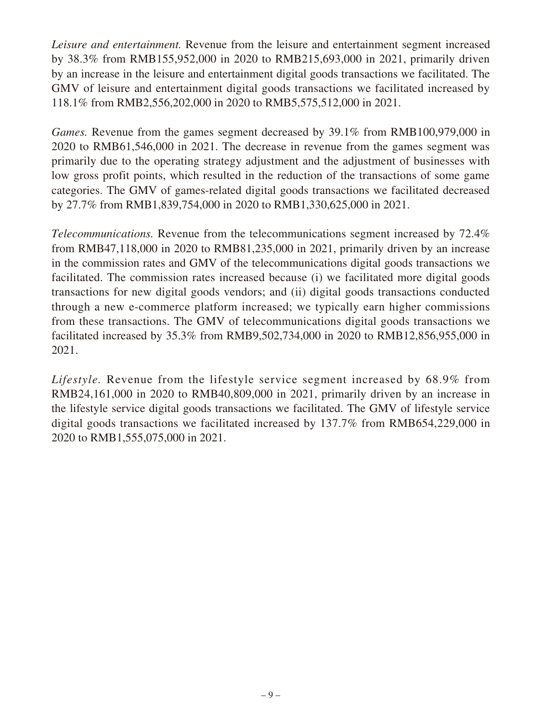*Leisure and entertainment.* Revenue from the leisure and entertainment segment increased by 38.3% from RMB155,952,000 in 2020 to RMB215,693,000 in 2021, primarily driven by an increase in the leisure and entertainment digital goods transactions we facilitated. The GMV of leisure and entertainment digital goods transactions we facilitated increased by 118.1% from RMB2,556,202,000 in 2020 to RMB5,575,512,000 in 2021.

*Games.* Revenue from the games segment decreased by 39.1% from RMB100,979,000 in 2020 to RMB61,546,000 in 2021. The decrease in revenue from the games segment was primarily due to the operating strategy adjustment and the adjustment of businesses with low gross profit points, which resulted in the reduction of the transactions of some game categories. The GMV of games-related digital goods transactions we facilitated decreased by 27.7% from RMB1,839,754,000 in 2020 to RMB1,330,625,000 in 2021.

*Telecommunications.* Revenue from the telecommunications segment increased by 72.4% from RMB47,118,000 in 2020 to RMB81,235,000 in 2021, primarily driven by an increase in the commission rates and GMV of the telecommunications digital goods transactions we facilitated. The commission rates increased because (i) we facilitated more digital goods transactions for new digital goods vendors; and (ii) digital goods transactions conducted through a new e-commerce platform increased; we typically earn higher commissions from these transactions. The GMV of telecommunications digital goods transactions we facilitated increased by 35.3% from RMB9,502,734,000 in 2020 to RMB12,856,955,000 in 2021.

*Lifestyle.* Revenue from the lifestyle service segment increased by 68.9% from RMB24,161,000 in 2020 to RMB40,809,000 in 2021, primarily driven by an increase in the lifestyle service digital goods transactions we facilitated. The GMV of lifestyle service digital goods transactions we facilitated increased by 137.7% from RMB654,229,000 in 2020 to RMB1,555,075,000 in 2021.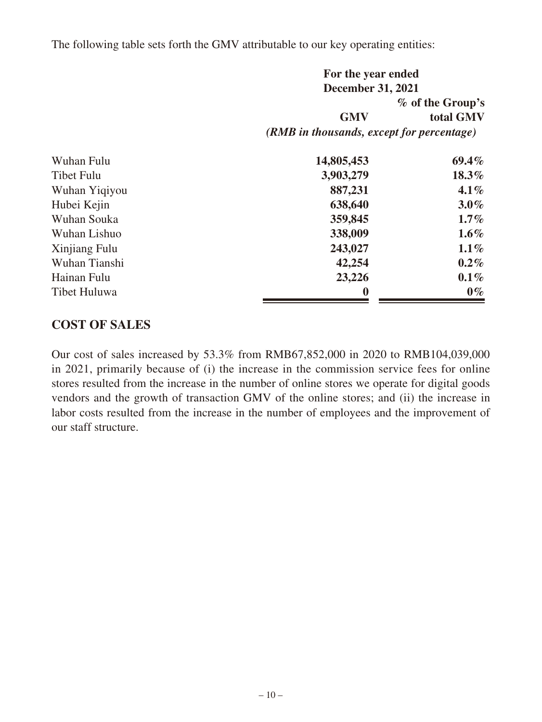The following table sets forth the GMV attributable to our key operating entities:

|                     | For the year ended                        |                  |  |
|---------------------|-------------------------------------------|------------------|--|
|                     | <b>December 31, 2021</b>                  |                  |  |
|                     |                                           | % of the Group's |  |
|                     | <b>GMV</b>                                | total GMV        |  |
|                     | (RMB in thousands, except for percentage) |                  |  |
| Wuhan Fulu          | 14,805,453                                | $69.4\%$         |  |
| <b>Tibet Fulu</b>   | 3,903,279                                 | 18.3%            |  |
| Wuhan Yiqiyou       | 887,231                                   | $4.1\%$          |  |
| Hubei Kejin         | 638,640                                   | $3.0\%$          |  |
| Wuhan Souka         | 359,845                                   | $1.7\%$          |  |
| Wuhan Lishuo        | 338,009                                   | $1.6\%$          |  |
| Xinjiang Fulu       | 243,027                                   | $1.1\%$          |  |
| Wuhan Tianshi       | 42,254                                    | $0.2\%$          |  |
| Hainan Fulu         | 23,226                                    | $0.1\%$          |  |
| <b>Tibet Huluwa</b> | $\bf{0}$                                  | $0\%$            |  |

### **COST OF SALES**

Our cost of sales increased by 53.3% from RMB67,852,000 in 2020 to RMB104,039,000 in 2021, primarily because of (i) the increase in the commission service fees for online stores resulted from the increase in the number of online stores we operate for digital goods vendors and the growth of transaction GMV of the online stores; and (ii) the increase in labor costs resulted from the increase in the number of employees and the improvement of our staff structure.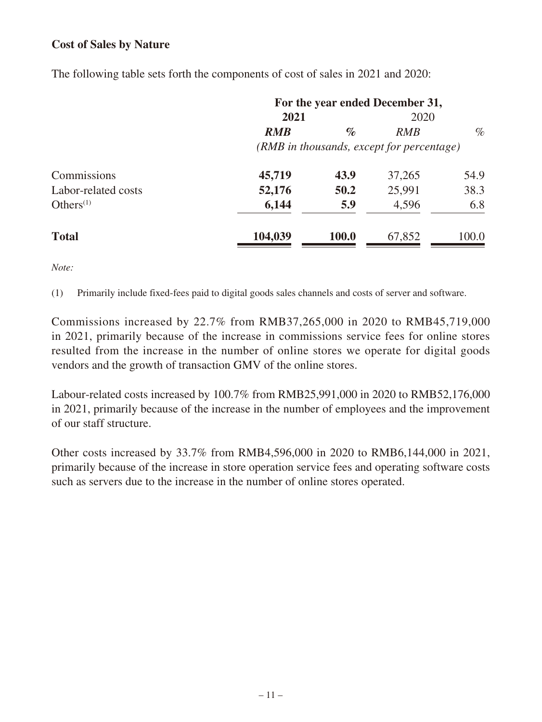### **Cost of Sales by Nature**

|                     |                                           |              | For the year ended December 31, |       |
|---------------------|-------------------------------------------|--------------|---------------------------------|-------|
|                     | 2021                                      |              | 2020                            |       |
|                     | <b>RMB</b>                                | $\%$         | <b>RMB</b>                      | $\%$  |
|                     | (RMB in thousands, except for percentage) |              |                                 |       |
| Commissions         | 45,719                                    | 43.9         | 37,265                          | 54.9  |
| Labor-related costs | 52,176                                    | 50.2         | 25,991                          | 38.3  |
| Others $(1)$        | 6,144                                     | 5.9          | 4,596                           | 6.8   |
| <b>Total</b>        | 104,039                                   | <b>100.0</b> | 67,852                          | 100.0 |

The following table sets forth the components of cost of sales in 2021 and 2020:

*Note:*

(1) Primarily include fixed-fees paid to digital goods sales channels and costs of server and software.

Commissions increased by 22.7% from RMB37,265,000 in 2020 to RMB45,719,000 in 2021, primarily because of the increase in commissions service fees for online stores resulted from the increase in the number of online stores we operate for digital goods vendors and the growth of transaction GMV of the online stores.

Labour-related costs increased by 100.7% from RMB25,991,000 in 2020 to RMB52,176,000 in 2021, primarily because of the increase in the number of employees and the improvement of our staff structure.

Other costs increased by 33.7% from RMB4,596,000 in 2020 to RMB6,144,000 in 2021, primarily because of the increase in store operation service fees and operating software costs such as servers due to the increase in the number of online stores operated.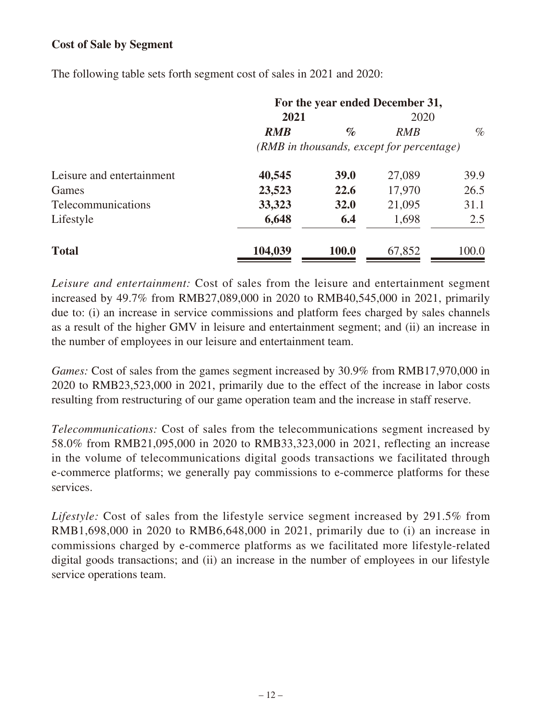### **Cost of Sale by Segment**

The following table sets forth segment cost of sales in 2021 and 2020:

|                           | For the year ended December 31,           |             |        |       |  |
|---------------------------|-------------------------------------------|-------------|--------|-------|--|
|                           | 2021                                      |             | 2020   |       |  |
|                           | <b>RMB</b>                                | $\%$        | RMB    | $\%$  |  |
|                           | (RMB in thousands, except for percentage) |             |        |       |  |
| Leisure and entertainment | 40,545                                    | <b>39.0</b> | 27,089 | 39.9  |  |
| Games                     | 23,523                                    | 22.6        | 17,970 | 26.5  |  |
| Telecommunications        | 33,323                                    | 32.0        | 21,095 | 31.1  |  |
| Lifestyle                 | 6,648                                     | 6.4         | 1,698  | 2.5   |  |
| <b>Total</b>              | 104,039                                   | 100.0       | 67,852 | 100.0 |  |

*Leisure and entertainment:* Cost of sales from the leisure and entertainment segment increased by 49.7% from RMB27,089,000 in 2020 to RMB40,545,000 in 2021, primarily due to: (i) an increase in service commissions and platform fees charged by sales channels as a result of the higher GMV in leisure and entertainment segment; and (ii) an increase in the number of employees in our leisure and entertainment team.

*Games:* Cost of sales from the games segment increased by 30.9% from RMB17,970,000 in 2020 to RMB23,523,000 in 2021, primarily due to the effect of the increase in labor costs resulting from restructuring of our game operation team and the increase in staff reserve.

*Telecommunications:* Cost of sales from the telecommunications segment increased by 58.0% from RMB21,095,000 in 2020 to RMB33,323,000 in 2021, reflecting an increase in the volume of telecommunications digital goods transactions we facilitated through e-commerce platforms; we generally pay commissions to e-commerce platforms for these services.

*Lifestyle:* Cost of sales from the lifestyle service segment increased by 291.5% from RMB1,698,000 in 2020 to RMB6,648,000 in 2021, primarily due to (i) an increase in commissions charged by e-commerce platforms as we facilitated more lifestyle-related digital goods transactions; and (ii) an increase in the number of employees in our lifestyle service operations team.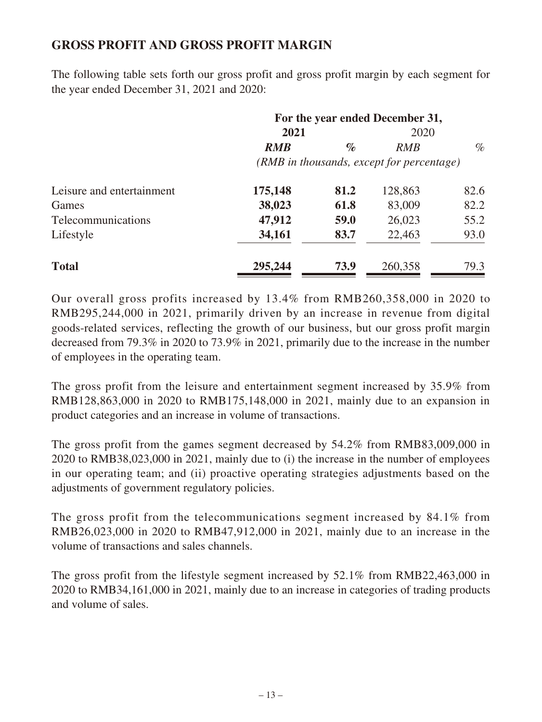## **GROSS PROFIT AND GROSS PROFIT MARGIN**

The following table sets forth our gross profit and gross profit margin by each segment for the year ended December 31, 2021 and 2020:

|                           | For the year ended December 31,           |      |            |      |  |
|---------------------------|-------------------------------------------|------|------------|------|--|
|                           | 2021                                      |      | 2020       |      |  |
|                           | <b>RMB</b>                                | $\%$ | <b>RMB</b> | $\%$ |  |
|                           | (RMB in thousands, except for percentage) |      |            |      |  |
| Leisure and entertainment | 175,148                                   | 81.2 | 128,863    | 82.6 |  |
| Games                     | 38,023                                    | 61.8 | 83,009     | 82.2 |  |
| Telecommunications        | 47,912                                    | 59.0 | 26,023     | 55.2 |  |
| Lifestyle                 | 34,161                                    | 83.7 | 22,463     | 93.0 |  |
| <b>Total</b>              | 295,244                                   | 73.9 | 260,358    | 79.3 |  |

Our overall gross profits increased by 13.4% from RMB260,358,000 in 2020 to RMB295,244,000 in 2021, primarily driven by an increase in revenue from digital goods-related services, reflecting the growth of our business, but our gross profit margin decreased from 79.3% in 2020 to 73.9% in 2021, primarily due to the increase in the number of employees in the operating team.

The gross profit from the leisure and entertainment segment increased by 35.9% from RMB128,863,000 in 2020 to RMB175,148,000 in 2021, mainly due to an expansion in product categories and an increase in volume of transactions.

The gross profit from the games segment decreased by 54.2% from RMB83,009,000 in 2020 to RMB38,023,000 in 2021, mainly due to (i) the increase in the number of employees in our operating team; and (ii) proactive operating strategies adjustments based on the adjustments of government regulatory policies.

The gross profit from the telecommunications segment increased by 84.1% from RMB26,023,000 in 2020 to RMB47,912,000 in 2021, mainly due to an increase in the volume of transactions and sales channels.

The gross profit from the lifestyle segment increased by 52.1% from RMB22,463,000 in 2020 to RMB34,161,000 in 2021, mainly due to an increase in categories of trading products and volume of sales.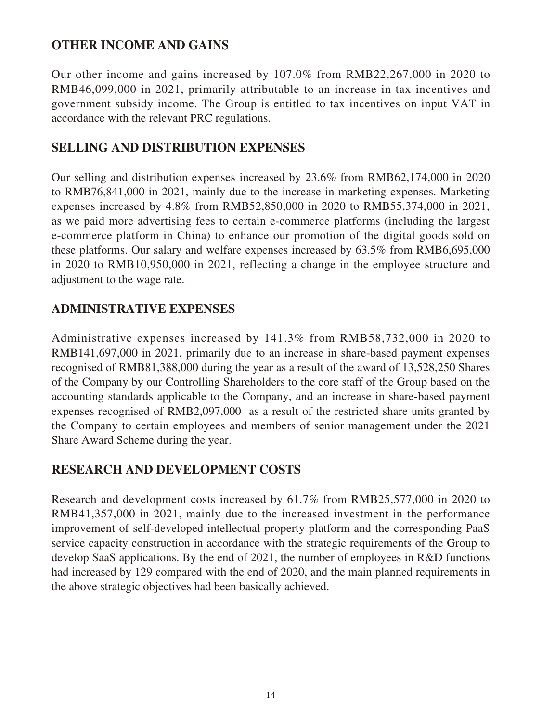# **OTHER INCOME AND GAINS**

Our other income and gains increased by 107.0% from RMB22,267,000 in 2020 to RMB46,099,000 in 2021, primarily attributable to an increase in tax incentives and government subsidy income. The Group is entitled to tax incentives on input VAT in accordance with the relevant PRC regulations.

## **SELLING AND DISTRIBUTION EXPENSES**

Our selling and distribution expenses increased by 23.6% from RMB62,174,000 in 2020 to RMB76,841,000 in 2021, mainly due to the increase in marketing expenses. Marketing expenses increased by 4.8% from RMB52,850,000 in 2020 to RMB55,374,000 in 2021, as we paid more advertising fees to certain e-commerce platforms (including the largest e-commerce platform in China) to enhance our promotion of the digital goods sold on these platforms. Our salary and welfare expenses increased by 63.5% from RMB6,695,000 in 2020 to RMB10,950,000 in 2021, reflecting a change in the employee structure and adjustment to the wage rate.

## **ADMINISTRATIVE EXPENSES**

Administrative expenses increased by 141.3% from RMB58,732,000 in 2020 to RMB141,697,000 in 2021, primarily due to an increase in share-based payment expenses recognised of RMB81,388,000 during the year as a result of the award of 13,528,250 Shares of the Company by our Controlling Shareholders to the core staff of the Group based on the accounting standards applicable to the Company, and an increase in share-based payment expenses recognised of RMB2,097,000 as a result of the restricted share units granted by the Company to certain employees and members of senior management under the 2021 Share Award Scheme during the year.

## **RESEARCH AND DEVELOPMENT COSTS**

Research and development costs increased by 61.7% from RMB25,577,000 in 2020 to RMB41,357,000 in 2021, mainly due to the increased investment in the performance improvement of self-developed intellectual property platform and the corresponding PaaS service capacity construction in accordance with the strategic requirements of the Group to develop SaaS applications. By the end of 2021, the number of employees in R&D functions had increased by 129 compared with the end of 2020, and the main planned requirements in the above strategic objectives had been basically achieved.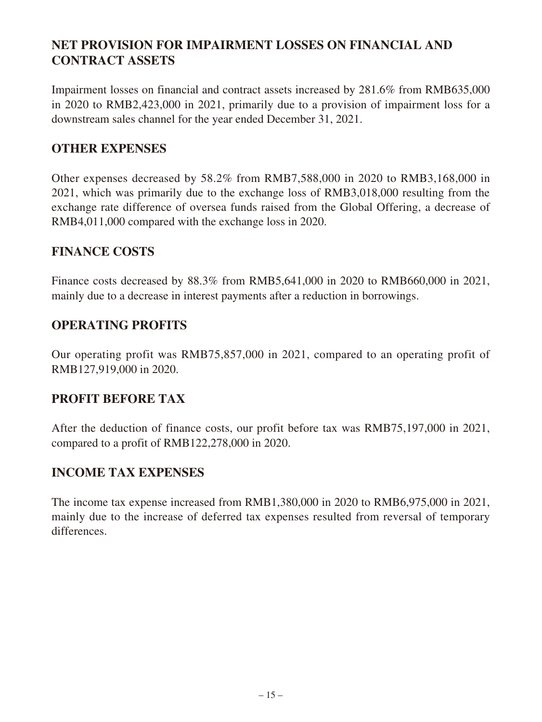# **NET PROVISION FOR IMPAIRMENT LOSSES ON FINANCIAL AND CONTRACT ASSETS**

Impairment losses on financial and contract assets increased by 281.6% from RMB635,000 in 2020 to RMB2,423,000 in 2021, primarily due to a provision of impairment loss for a downstream sales channel for the year ended December 31, 2021.

## **OTHER EXPENSES**

Other expenses decreased by 58.2% from RMB7,588,000 in 2020 to RMB3,168,000 in 2021, which was primarily due to the exchange loss of RMB3,018,000 resulting from the exchange rate difference of oversea funds raised from the Global Offering, a decrease of RMB4,011,000 compared with the exchange loss in 2020.

## **FINANCE COSTS**

Finance costs decreased by 88.3% from RMB5,641,000 in 2020 to RMB660,000 in 2021, mainly due to a decrease in interest payments after a reduction in borrowings.

## **OPERATING PROFITS**

Our operating profit was RMB75,857,000 in 2021, compared to an operating profit of RMB127,919,000 in 2020.

## **PROFIT BEFORE TAX**

After the deduction of finance costs, our profit before tax was RMB75,197,000 in 2021, compared to a profit of RMB122,278,000 in 2020.

## **INCOME TAX EXPENSES**

The income tax expense increased from RMB1,380,000 in 2020 to RMB6,975,000 in 2021, mainly due to the increase of deferred tax expenses resulted from reversal of temporary differences.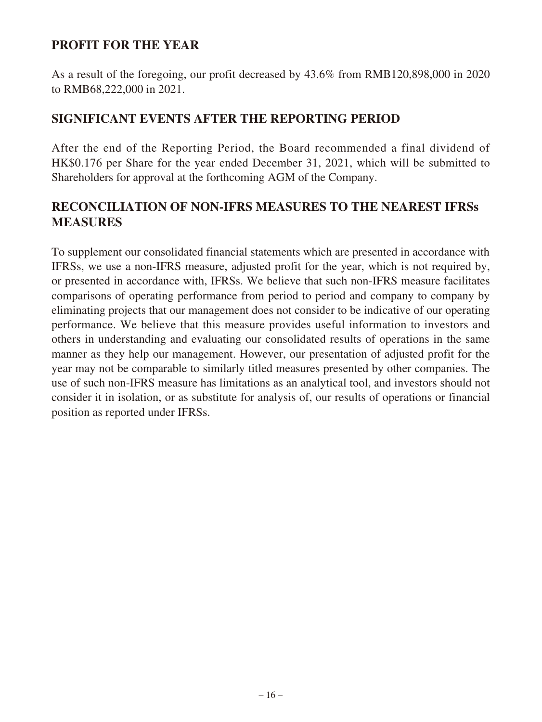## **PROFIT FOR THE YEAR**

As a result of the foregoing, our profit decreased by 43.6% from RMB120,898,000 in 2020 to RMB68,222,000 in 2021.

## **SIGNIFICANT EVENTS AFTER THE REPORTING PERIOD**

After the end of the Reporting Period, the Board recommended a final dividend of HK\$0.176 per Share for the year ended December 31, 2021, which will be submitted to Shareholders for approval at the forthcoming AGM of the Company.

# **RECONCILIATION OF NON-IFRS MEASURES TO THE NEAREST IFRSs MEASURES**

To supplement our consolidated financial statements which are presented in accordance with IFRSs, we use a non-IFRS measure, adjusted profit for the year, which is not required by, or presented in accordance with, IFRSs. We believe that such non-IFRS measure facilitates comparisons of operating performance from period to period and company to company by eliminating projects that our management does not consider to be indicative of our operating performance. We believe that this measure provides useful information to investors and others in understanding and evaluating our consolidated results of operations in the same manner as they help our management. However, our presentation of adjusted profit for the year may not be comparable to similarly titled measures presented by other companies. The use of such non-IFRS measure has limitations as an analytical tool, and investors should not consider it in isolation, or as substitute for analysis of, our results of operations or financial position as reported under IFRSs.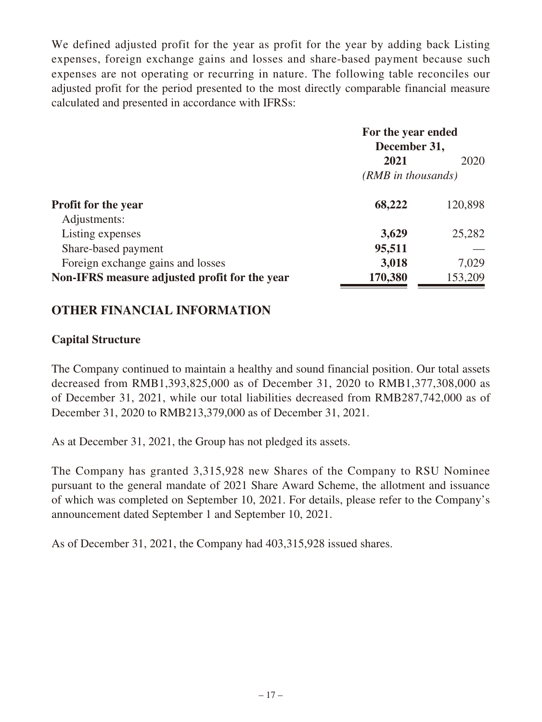We defined adjusted profit for the year as profit for the year by adding back Listing expenses, foreign exchange gains and losses and share-based payment because such expenses are not operating or recurring in nature. The following table reconciles our adjusted profit for the period presented to the most directly comparable financial measure calculated and presented in accordance with IFRSs:

|                                               | For the year ended<br>December 31, |         |  |
|-----------------------------------------------|------------------------------------|---------|--|
|                                               |                                    |         |  |
|                                               | 2021                               | 2020    |  |
|                                               | $(RMB$ in thousands)               |         |  |
| <b>Profit for the year</b>                    | 68,222                             | 120,898 |  |
| Adjustments:                                  |                                    |         |  |
| Listing expenses                              | 3,629                              | 25,282  |  |
| Share-based payment                           | 95,511                             |         |  |
| Foreign exchange gains and losses             | 3,018                              | 7,029   |  |
| Non-IFRS measure adjusted profit for the year | 170,380                            | 153,209 |  |

## **OTHER FINANCIAL INFORMATION**

### **Capital Structure**

The Company continued to maintain a healthy and sound financial position. Our total assets decreased from RMB1,393,825,000 as of December 31, 2020 to RMB1,377,308,000 as of December 31, 2021, while our total liabilities decreased from RMB287,742,000 as of December 31, 2020 to RMB213,379,000 as of December 31, 2021.

As at December 31, 2021, the Group has not pledged its assets.

The Company has granted 3,315,928 new Shares of the Company to RSU Nominee pursuant to the general mandate of 2021 Share Award Scheme, the allotment and issuance of which was completed on September 10, 2021. For details, please refer to the Company's announcement dated September 1 and September 10, 2021.

As of December 31, 2021, the Company had 403,315,928 issued shares.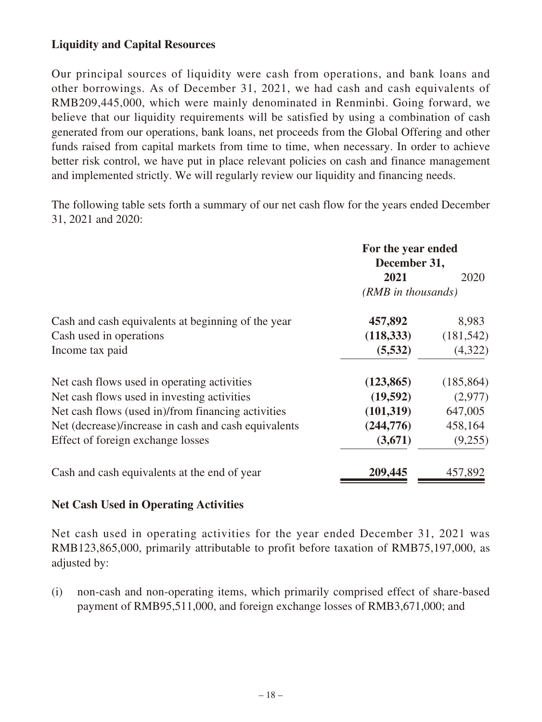## **Liquidity and Capital Resources**

Our principal sources of liquidity were cash from operations, and bank loans and other borrowings. As of December 31, 2021, we had cash and cash equivalents of RMB209,445,000, which were mainly denominated in Renminbi. Going forward, we believe that our liquidity requirements will be satisfied by using a combination of cash generated from our operations, bank loans, net proceeds from the Global Offering and other funds raised from capital markets from time to time, when necessary. In order to achieve better risk control, we have put in place relevant policies on cash and finance management and implemented strictly. We will regularly review our liquidity and financing needs.

The following table sets forth a summary of our net cash flow for the years ended December 31, 2021 and 2020:

|                                                      | For the year ended<br>December 31, |            |
|------------------------------------------------------|------------------------------------|------------|
|                                                      | 2021                               | 2020       |
|                                                      | (RMB in thousands)                 |            |
| Cash and cash equivalents at beginning of the year   | 457,892                            | 8,983      |
| Cash used in operations                              | (118, 333)                         | (181, 542) |
| Income tax paid                                      | (5,532)                            | (4,322)    |
| Net cash flows used in operating activities          | (123, 865)                         | (185, 864) |
| Net cash flows used in investing activities          | (19,592)                           | (2,977)    |
| Net cash flows (used in)/from financing activities   | (101, 319)                         | 647,005    |
| Net (decrease)/increase in cash and cash equivalents | (244, 776)                         | 458,164    |
| Effect of foreign exchange losses                    | (3,671)                            | (9,255)    |
| Cash and cash equivalents at the end of year         | 209,445                            | 457,892    |

### **Net Cash Used in Operating Activities**

Net cash used in operating activities for the year ended December 31, 2021 was RMB123,865,000, primarily attributable to profit before taxation of RMB75,197,000, as adjusted by:

(i) non-cash and non-operating items, which primarily comprised effect of share-based payment of RMB95,511,000, and foreign exchange losses of RMB3,671,000; and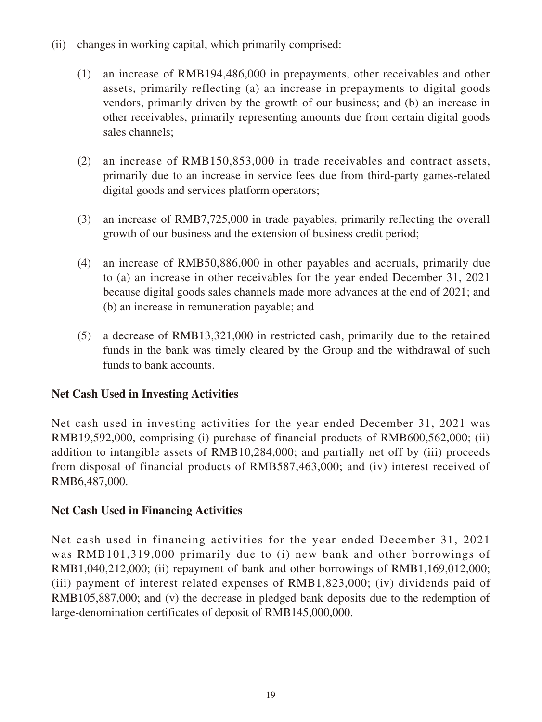- (ii) changes in working capital, which primarily comprised:
	- (1) an increase of RMB194,486,000 in prepayments, other receivables and other assets, primarily reflecting (a) an increase in prepayments to digital goods vendors, primarily driven by the growth of our business; and (b) an increase in other receivables, primarily representing amounts due from certain digital goods sales channels;
	- (2) an increase of RMB150,853,000 in trade receivables and contract assets, primarily due to an increase in service fees due from third-party games-related digital goods and services platform operators;
	- (3) an increase of RMB7,725,000 in trade payables, primarily reflecting the overall growth of our business and the extension of business credit period;
	- (4) an increase of RMB50,886,000 in other payables and accruals, primarily due to (a) an increase in other receivables for the year ended December 31, 2021 because digital goods sales channels made more advances at the end of 2021; and (b) an increase in remuneration payable; and
	- (5) a decrease of RMB13,321,000 in restricted cash, primarily due to the retained funds in the bank was timely cleared by the Group and the withdrawal of such funds to bank accounts.

## **Net Cash Used in Investing Activities**

Net cash used in investing activities for the year ended December 31, 2021 was RMB19,592,000, comprising (i) purchase of financial products of RMB600,562,000; (ii) addition to intangible assets of RMB10,284,000; and partially net off by (iii) proceeds from disposal of financial products of RMB587,463,000; and (iv) interest received of RMB6,487,000.

## **Net Cash Used in Financing Activities**

Net cash used in financing activities for the year ended December 31, 2021 was RMB101,319,000 primarily due to (i) new bank and other borrowings of RMB1,040,212,000; (ii) repayment of bank and other borrowings of RMB1,169,012,000; (iii) payment of interest related expenses of RMB1,823,000; (iv) dividends paid of RMB105,887,000; and (v) the decrease in pledged bank deposits due to the redemption of large-denomination certificates of deposit of RMB145,000,000.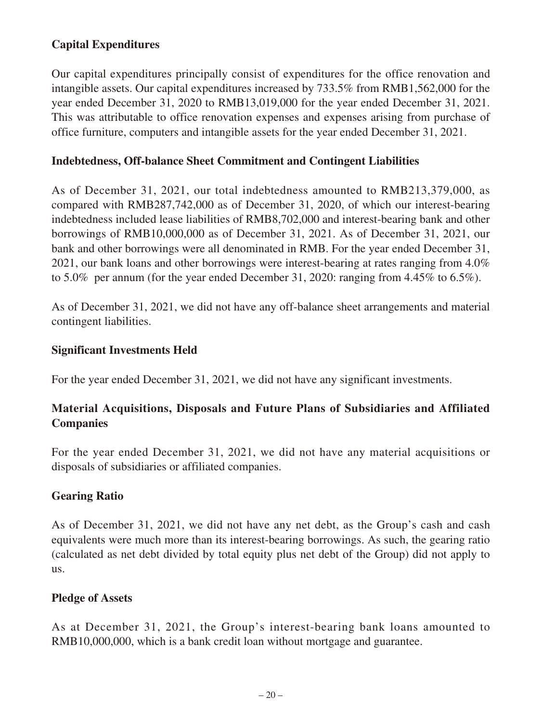## **Capital Expenditures**

Our capital expenditures principally consist of expenditures for the office renovation and intangible assets. Our capital expenditures increased by 733.5% from RMB1,562,000 for the year ended December 31, 2020 to RMB13,019,000 for the year ended December 31, 2021. This was attributable to office renovation expenses and expenses arising from purchase of office furniture, computers and intangible assets for the year ended December 31, 2021.

### **Indebtedness, Off-balance Sheet Commitment and Contingent Liabilities**

As of December 31, 2021, our total indebtedness amounted to RMB213,379,000, as compared with RMB287,742,000 as of December 31, 2020, of which our interest-bearing indebtedness included lease liabilities of RMB8,702,000 and interest-bearing bank and other borrowings of RMB10,000,000 as of December 31, 2021. As of December 31, 2021, our bank and other borrowings were all denominated in RMB. For the year ended December 31, 2021, our bank loans and other borrowings were interest-bearing at rates ranging from 4.0% to 5.0% per annum (for the year ended December 31, 2020: ranging from 4.45% to 6.5%).

As of December 31, 2021, we did not have any off-balance sheet arrangements and material contingent liabilities.

### **Significant Investments Held**

For the year ended December 31, 2021, we did not have any significant investments.

## **Material Acquisitions, Disposals and Future Plans of Subsidiaries and Affiliated Companies**

For the year ended December 31, 2021, we did not have any material acquisitions or disposals of subsidiaries or affiliated companies.

## **Gearing Ratio**

As of December 31, 2021, we did not have any net debt, as the Group's cash and cash equivalents were much more than its interest-bearing borrowings. As such, the gearing ratio (calculated as net debt divided by total equity plus net debt of the Group) did not apply to us.

### **Pledge of Assets**

As at December 31, 2021, the Group's interest-bearing bank loans amounted to RMB10,000,000, which is a bank credit loan without mortgage and guarantee.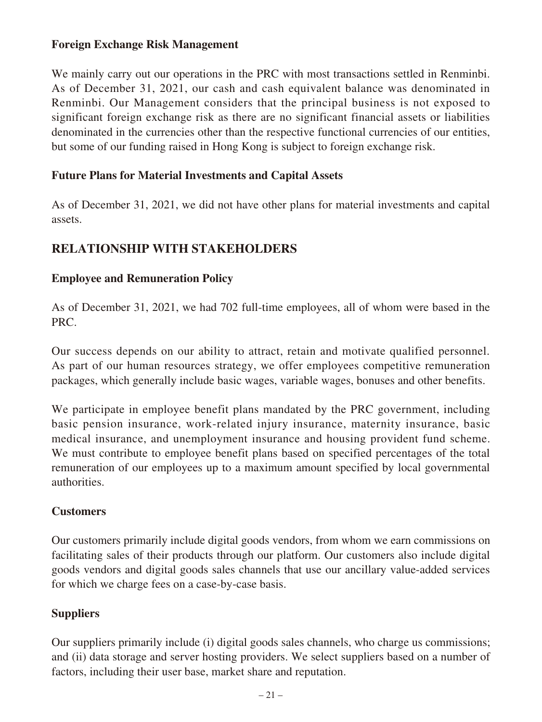### **Foreign Exchange Risk Management**

We mainly carry out our operations in the PRC with most transactions settled in Renminbi. As of December 31, 2021, our cash and cash equivalent balance was denominated in Renminbi. Our Management considers that the principal business is not exposed to significant foreign exchange risk as there are no significant financial assets or liabilities denominated in the currencies other than the respective functional currencies of our entities, but some of our funding raised in Hong Kong is subject to foreign exchange risk.

### **Future Plans for Material Investments and Capital Assets**

As of December 31, 2021, we did not have other plans for material investments and capital assets.

## **RELATIONSHIP WITH STAKEHOLDERS**

### **Employee and Remuneration Policy**

As of December 31, 2021, we had 702 full-time employees, all of whom were based in the PRC.

Our success depends on our ability to attract, retain and motivate qualified personnel. As part of our human resources strategy, we offer employees competitive remuneration packages, which generally include basic wages, variable wages, bonuses and other benefits.

We participate in employee benefit plans mandated by the PRC government, including basic pension insurance, work-related injury insurance, maternity insurance, basic medical insurance, and unemployment insurance and housing provident fund scheme. We must contribute to employee benefit plans based on specified percentages of the total remuneration of our employees up to a maximum amount specified by local governmental authorities.

### **Customers**

Our customers primarily include digital goods vendors, from whom we earn commissions on facilitating sales of their products through our platform. Our customers also include digital goods vendors and digital goods sales channels that use our ancillary value-added services for which we charge fees on a case-by-case basis.

## **Suppliers**

Our suppliers primarily include (i) digital goods sales channels, who charge us commissions; and (ii) data storage and server hosting providers. We select suppliers based on a number of factors, including their user base, market share and reputation.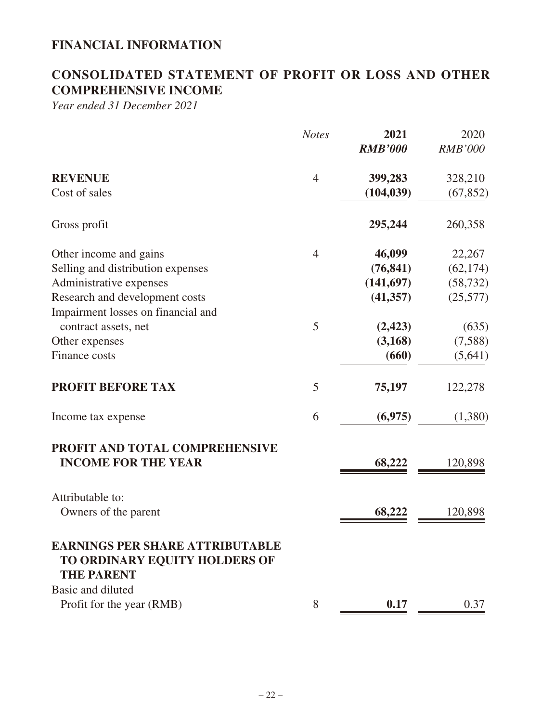# **FINANCIAL INFORMATION**

# **CONSOLIDATED STATEMENT OF PROFIT OR LOSS AND OTHER COMPREHENSIVE INCOME**

*Year ended 31 December 2021*

|                                                                                              | <b>Notes</b>   | 2021<br><b>RMB'000</b> | 2020<br><b>RMB'000</b> |
|----------------------------------------------------------------------------------------------|----------------|------------------------|------------------------|
| <b>REVENUE</b>                                                                               | $\overline{4}$ | 399,283                | 328,210                |
| Cost of sales                                                                                |                | (104, 039)             | (67, 852)              |
| Gross profit                                                                                 |                | 295,244                | 260,358                |
| Other income and gains                                                                       | $\overline{4}$ | 46,099                 | 22,267                 |
| Selling and distribution expenses                                                            |                | (76, 841)              | (62, 174)              |
| Administrative expenses                                                                      |                | (141,697)              | (58, 732)              |
| Research and development costs                                                               |                | (41, 357)              | (25,577)               |
| Impairment losses on financial and                                                           |                |                        |                        |
| contract assets, net                                                                         | 5              | (2, 423)               | (635)                  |
| Other expenses                                                                               |                | (3, 168)               | (7,588)                |
| Finance costs                                                                                |                | (660)                  | (5,641)                |
| <b>PROFIT BEFORE TAX</b>                                                                     | 5              | 75,197                 | 122,278                |
| Income tax expense                                                                           | 6              | (6,975)                | (1,380)                |
| PROFIT AND TOTAL COMPREHENSIVE<br><b>INCOME FOR THE YEAR</b>                                 |                | 68,222                 | 120,898                |
|                                                                                              |                |                        |                        |
| Attributable to:                                                                             |                |                        |                        |
| Owners of the parent                                                                         |                | 68,222                 | 120,898                |
| <b>EARNINGS PER SHARE ATTRIBUTABLE</b><br>TO ORDINARY EQUITY HOLDERS OF<br><b>THE PARENT</b> |                |                        |                        |
| Basic and diluted                                                                            |                |                        |                        |
| Profit for the year (RMB)                                                                    | 8              | 0.17                   | 0.37                   |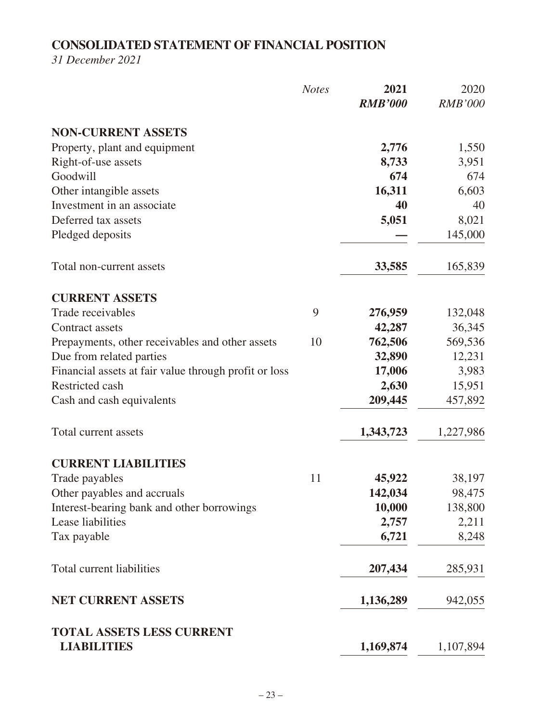# **CONSOLIDATED STATEMENT OF FINANCIAL POSITION**

*31 December 2021*

|                                                        | <b>Notes</b> | 2021<br><b>RMB'000</b> | 2020<br><b>RMB'000</b> |
|--------------------------------------------------------|--------------|------------------------|------------------------|
| <b>NON-CURRENT ASSETS</b>                              |              |                        |                        |
| Property, plant and equipment                          |              | 2,776                  | 1,550                  |
| Right-of-use assets                                    |              | 8,733                  | 3,951                  |
| Goodwill                                               |              | 674                    | 674                    |
| Other intangible assets                                |              | 16,311                 | 6,603                  |
| Investment in an associate                             |              | 40                     | 40                     |
| Deferred tax assets                                    |              | 5,051                  | 8,021                  |
| Pledged deposits                                       |              |                        | 145,000                |
| Total non-current assets                               |              | 33,585                 | 165,839                |
| <b>CURRENT ASSETS</b>                                  |              |                        |                        |
| Trade receivables                                      | 9            | 276,959                | 132,048                |
| <b>Contract assets</b>                                 |              | 42,287                 | 36,345                 |
| Prepayments, other receivables and other assets        | 10           | 762,506                | 569,536                |
| Due from related parties                               |              | 32,890                 | 12,231                 |
| Financial assets at fair value through profit or loss  |              | 17,006                 | 3,983                  |
| Restricted cash                                        |              | 2,630                  | 15,951                 |
| Cash and cash equivalents                              |              | 209,445                | 457,892                |
| Total current assets                                   |              | 1,343,723              | 1,227,986              |
| <b>CURRENT LIABILITIES</b>                             |              |                        |                        |
| Trade payables                                         | 11           | 45,922                 | 38,197                 |
| Other payables and accruals                            |              | 142,034                | 98,475                 |
| Interest-bearing bank and other borrowings             |              | 10,000                 | 138,800                |
| Lease liabilities                                      |              | 2,757                  | 2,211                  |
| Tax payable                                            |              | 6,721                  | 8,248                  |
| <b>Total current liabilities</b>                       |              | 207,434                | 285,931                |
| <b>NET CURRENT ASSETS</b>                              |              | 1,136,289              | 942,055                |
| <b>TOTAL ASSETS LESS CURRENT</b><br><b>LIABILITIES</b> |              | 1,169,874              | 1,107,894              |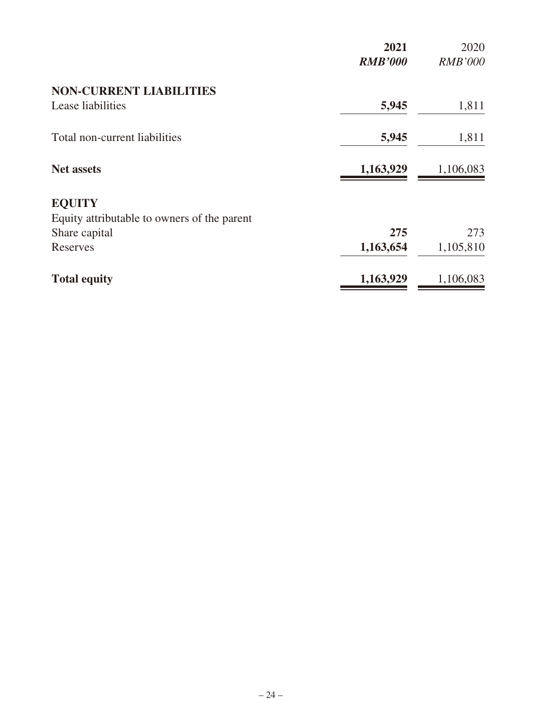|                                             | 2021<br><b>RMB'000</b> | 2020<br><b>RMB'000</b> |
|---------------------------------------------|------------------------|------------------------|
| <b>NON-CURRENT LIABILITIES</b>              |                        |                        |
| Lease liabilities                           | 5,945                  | 1,811                  |
| Total non-current liabilities               | 5,945                  | 1,811                  |
| <b>Net assets</b>                           | 1,163,929              | 1,106,083              |
| <b>EQUITY</b>                               |                        |                        |
| Equity attributable to owners of the parent |                        |                        |
| Share capital                               | 275                    | 273                    |
| Reserves                                    | 1,163,654              | 1,105,810              |
| <b>Total equity</b>                         | 1,163,929              | 1,106,083              |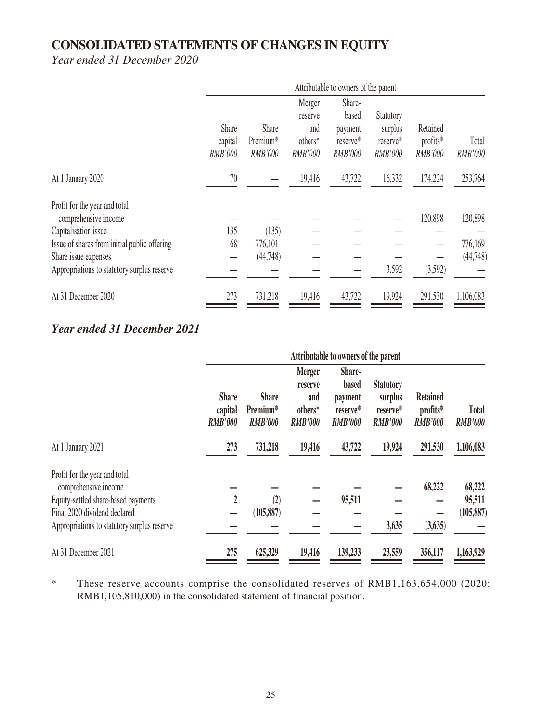# **CONSOLIDATED STATEMENTS OF CHANGES IN EQUITY**

*Year ended 31 December 2020*

|                                                       | Attributable to owners of the parent |                                                 |                                                |                                                          |                                                           |                                        |                         |
|-------------------------------------------------------|--------------------------------------|-------------------------------------------------|------------------------------------------------|----------------------------------------------------------|-----------------------------------------------------------|----------------------------------------|-------------------------|
|                                                       | Share<br>capital<br><b>RMB'000</b>   | Share<br>Premium <sup>*</sup><br><b>RMB'000</b> | Merger<br>reserve<br>and<br>others*<br>RMB'000 | Share-<br>based<br>payment<br>reserve*<br><b>RMB'000</b> | <b>Statutory</b><br>surplus<br>reserve*<br><b>RMB'000</b> | Retained<br>profits*<br><b>RMB'000</b> | Total<br><b>RMB'000</b> |
| At 1 January 2020                                     | 70                                   |                                                 | 19,416                                         | 43,722                                                   | 16,332                                                    | 174,224                                | 253,764                 |
| Profit for the year and total<br>comprehensive income |                                      |                                                 |                                                |                                                          |                                                           | 120,898                                | 120,898                 |
| Capitalisation issue                                  | 135                                  | (135)                                           |                                                |                                                          |                                                           |                                        |                         |
| Issue of shares from initial public offering          | 68                                   | 776,101                                         |                                                |                                                          |                                                           |                                        | 776,169                 |
| Share issue expenses                                  |                                      | (44,748)                                        |                                                |                                                          |                                                           |                                        | (44, 748)               |
| Appropriations to statutory surplus reserve           |                                      |                                                 |                                                |                                                          | 3,592                                                     | (3,592)                                |                         |
| At 31 December 2020                                   | 273                                  | 731,218                                         | 19,416                                         | 43,722                                                   | 19,924                                                    | 291,530                                | 1,106,083               |

# *Year ended 31 December 2021*

|                                                                                                                                                                             | Attributable to owners of the parent      |                                            |                                                              |                                                                 |                                                           |                                               |                                |
|-----------------------------------------------------------------------------------------------------------------------------------------------------------------------------|-------------------------------------------|--------------------------------------------|--------------------------------------------------------------|-----------------------------------------------------------------|-----------------------------------------------------------|-----------------------------------------------|--------------------------------|
|                                                                                                                                                                             | <b>Share</b><br>capital<br><b>RMB'000</b> | <b>Share</b><br>Premium*<br><b>RMB'000</b> | <b>Merger</b><br>reserve<br>and<br>others*<br><b>RMB'000</b> | Share-<br><b>based</b><br>payment<br>reserve*<br><b>RMB'000</b> | <b>Statutory</b><br>surplus<br>reserve*<br><b>RMB'000</b> | <b>Retained</b><br>profits*<br><b>RMB'000</b> | <b>Total</b><br><b>RMB'000</b> |
| At 1 January 2021                                                                                                                                                           | 273                                       | 731,218                                    | 19,416                                                       | 43,722                                                          | 19,924                                                    | 291,530                                       | 1,106,083                      |
| Profit for the year and total<br>comprehensive income<br>Equity-settled share-based payments<br>Final 2020 dividend declared<br>Appropriations to statutory surplus reserve | $\overline{2}$                            | (2)<br>(105, 887)                          |                                                              | 95,511                                                          | 3,635                                                     | 68,222<br>(3, 635)                            | 68,222<br>95,511<br>(105, 887) |
| At 31 December 2021                                                                                                                                                         | 275                                       | 625,329                                    | 19,416                                                       | 139,233                                                         | 23,559                                                    | 356,117                                       | 1,163,929                      |

\* These reserve accounts comprise the consolidated reserves of RMB1,163,654,000 (2020: RMB1,105,810,000) in the consolidated statement of financial position.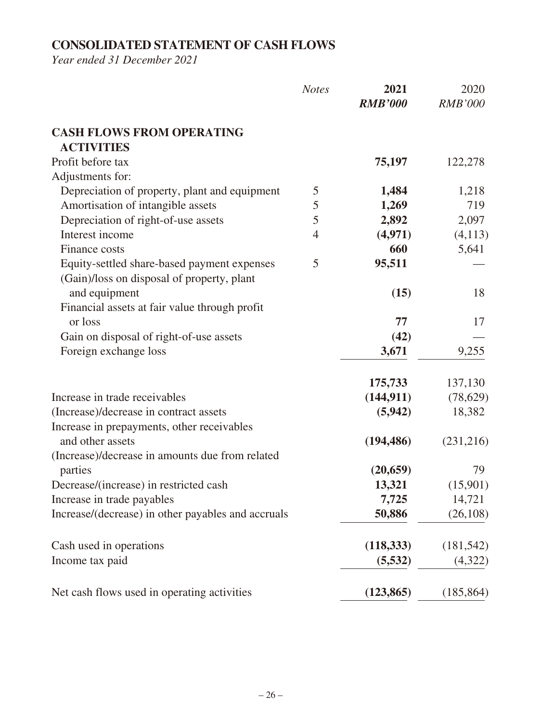# **CONSOLIDATED STATEMENT OF CASH FLOWS**

*Year ended 31 December 2021*

|                                                    | <b>Notes</b>   | 2021<br><b>RMB'000</b> | 2020<br><b>RMB'000</b> |
|----------------------------------------------------|----------------|------------------------|------------------------|
| <b>CASH FLOWS FROM OPERATING</b>                   |                |                        |                        |
| <b>ACTIVITIES</b>                                  |                |                        |                        |
| Profit before tax                                  |                | 75,197                 | 122,278                |
| Adjustments for:                                   |                |                        |                        |
| Depreciation of property, plant and equipment      | 5              | 1,484                  | 1,218                  |
| Amortisation of intangible assets                  | 5              | 1,269                  | 719                    |
| Depreciation of right-of-use assets                | 5              | 2,892                  | 2,097                  |
| Interest income                                    | $\overline{4}$ | (4,971)                | (4,113)                |
| Finance costs                                      |                | 660                    | 5,641                  |
| Equity-settled share-based payment expenses        | 5              | 95,511                 |                        |
| (Gain)/loss on disposal of property, plant         |                |                        |                        |
| and equipment                                      |                | (15)                   | 18                     |
| Financial assets at fair value through profit      |                |                        |                        |
| or loss                                            |                | 77                     | 17                     |
| Gain on disposal of right-of-use assets            |                | (42)                   |                        |
| Foreign exchange loss                              |                | 3,671                  | 9,255                  |
|                                                    |                |                        |                        |
|                                                    |                | 175,733                | 137,130                |
| Increase in trade receivables                      |                | (144, 911)             | (78,629)               |
| (Increase)/decrease in contract assets             |                | (5,942)                | 18,382                 |
| Increase in prepayments, other receivables         |                |                        |                        |
| and other assets                                   |                | (194, 486)             | (231,216)              |
| (Increase)/decrease in amounts due from related    |                |                        |                        |
| parties                                            |                | (20, 659)              | 79                     |
| Decrease/(increase) in restricted cash             |                | 13,321                 | (15,901)               |
| Increase in trade payables                         |                | 7,725                  | 14,721                 |
| Increase/(decrease) in other payables and accruals |                | 50,886                 | (26,108)               |
| Cash used in operations                            |                | (118, 333)             | (181, 542)             |
| Income tax paid                                    |                | (5,532)                | (4,322)                |
|                                                    |                |                        |                        |
| Net cash flows used in operating activities        |                | (123, 865)             | (185, 864)             |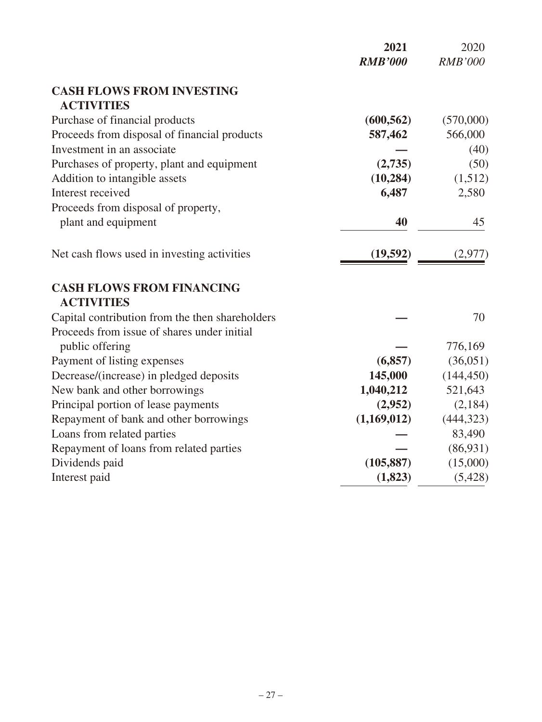|                                                 | 2021           | 2020           |
|-------------------------------------------------|----------------|----------------|
|                                                 | <b>RMB'000</b> | <b>RMB'000</b> |
| <b>CASH FLOWS FROM INVESTING</b>                |                |                |
| <b>ACTIVITIES</b>                               |                |                |
| Purchase of financial products                  | (600, 562)     | (570,000)      |
| Proceeds from disposal of financial products    | 587,462        | 566,000        |
| Investment in an associate                      |                | (40)           |
| Purchases of property, plant and equipment      | (2,735)        | (50)           |
| Addition to intangible assets                   | (10, 284)      | (1,512)        |
| Interest received                               | 6,487          | 2,580          |
| Proceeds from disposal of property,             |                |                |
| plant and equipment                             | 40             | 45             |
| Net cash flows used in investing activities     | (19,592)       | (2,977)        |
| <b>CASH FLOWS FROM FINANCING</b>                |                |                |
| <b>ACTIVITIES</b>                               |                |                |
| Capital contribution from the then shareholders |                | 70             |
| Proceeds from issue of shares under initial     |                |                |
| public offering                                 |                | 776,169        |
| Payment of listing expenses                     | (6, 857)       | (36,051)       |
| Decrease/(increase) in pledged deposits         | 145,000        | (144, 450)     |
| New bank and other borrowings                   | 1,040,212      | 521,643        |
| Principal portion of lease payments             | (2,952)        | (2,184)        |
| Repayment of bank and other borrowings          | (1,169,012)    | (444, 323)     |
| Loans from related parties                      |                | 83,490         |
| Repayment of loans from related parties         |                | (86,931)       |
| Dividends paid                                  | (105, 887)     | (15,000)       |
| Interest paid                                   | (1, 823)       | (5, 428)       |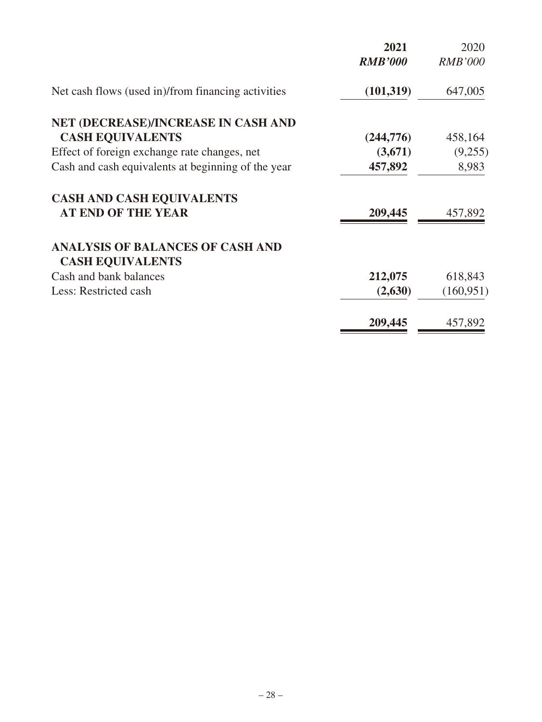| 2021           | 2020           |
|----------------|----------------|
| <b>RMB'000</b> | <b>RMB'000</b> |
| (101, 319)     | 647,005        |
|                |                |
| (244, 776)     | 458,164        |
| (3,671)        | (9,255)        |
| 457,892        | 8,983          |
|                |                |
| 209,445        | 457,892        |
|                |                |
|                |                |
| 212,075        | 618,843        |
| (2,630)        | (160, 951)     |
| 209,445        | 457,892        |
|                |                |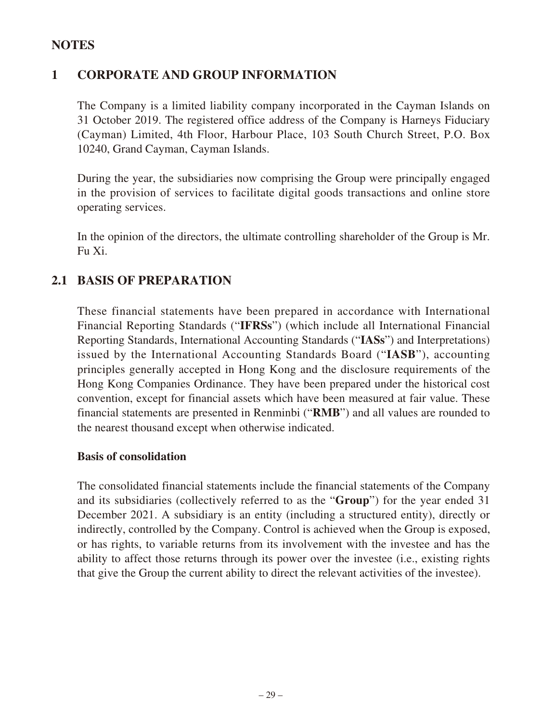## **NOTES**

# **1 CORPORATE AND GROUP INFORMATION**

The Company is a limited liability company incorporated in the Cayman Islands on 31 October 2019. The registered office address of the Company is Harneys Fiduciary (Cayman) Limited, 4th Floor, Harbour Place, 103 South Church Street, P.O. Box 10240, Grand Cayman, Cayman Islands.

During the year, the subsidiaries now comprising the Group were principally engaged in the provision of services to facilitate digital goods transactions and online store operating services.

In the opinion of the directors, the ultimate controlling shareholder of the Group is Mr. Fu Xi.

# **2.1 BASIS OF PREPARATION**

These financial statements have been prepared in accordance with International Financial Reporting Standards ("**IFRSs**") (which include all International Financial Reporting Standards, International Accounting Standards ("**IASs**") and Interpretations) issued by the International Accounting Standards Board ("**IASB**"), accounting principles generally accepted in Hong Kong and the disclosure requirements of the Hong Kong Companies Ordinance. They have been prepared under the historical cost convention, except for financial assets which have been measured at fair value. These financial statements are presented in Renminbi ("**RMB**") and all values are rounded to the nearest thousand except when otherwise indicated.

### **Basis of consolidation**

The consolidated financial statements include the financial statements of the Company and its subsidiaries (collectively referred to as the "**Group**") for the year ended 31 December 2021. A subsidiary is an entity (including a structured entity), directly or indirectly, controlled by the Company. Control is achieved when the Group is exposed, or has rights, to variable returns from its involvement with the investee and has the ability to affect those returns through its power over the investee (i.e., existing rights that give the Group the current ability to direct the relevant activities of the investee).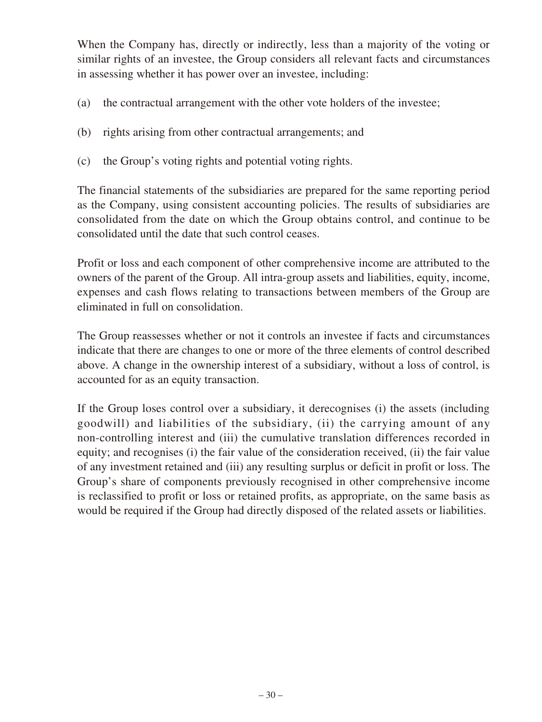When the Company has, directly or indirectly, less than a majority of the voting or similar rights of an investee, the Group considers all relevant facts and circumstances in assessing whether it has power over an investee, including:

- (a) the contractual arrangement with the other vote holders of the investee;
- (b) rights arising from other contractual arrangements; and
- (c) the Group's voting rights and potential voting rights.

The financial statements of the subsidiaries are prepared for the same reporting period as the Company, using consistent accounting policies. The results of subsidiaries are consolidated from the date on which the Group obtains control, and continue to be consolidated until the date that such control ceases.

Profit or loss and each component of other comprehensive income are attributed to the owners of the parent of the Group. All intra-group assets and liabilities, equity, income, expenses and cash flows relating to transactions between members of the Group are eliminated in full on consolidation.

The Group reassesses whether or not it controls an investee if facts and circumstances indicate that there are changes to one or more of the three elements of control described above. A change in the ownership interest of a subsidiary, without a loss of control, is accounted for as an equity transaction.

If the Group loses control over a subsidiary, it derecognises (i) the assets (including goodwill) and liabilities of the subsidiary, (ii) the carrying amount of any non-controlling interest and (iii) the cumulative translation differences recorded in equity; and recognises (i) the fair value of the consideration received, (ii) the fair value of any investment retained and (iii) any resulting surplus or deficit in profit or loss. The Group's share of components previously recognised in other comprehensive income is reclassified to profit or loss or retained profits, as appropriate, on the same basis as would be required if the Group had directly disposed of the related assets or liabilities.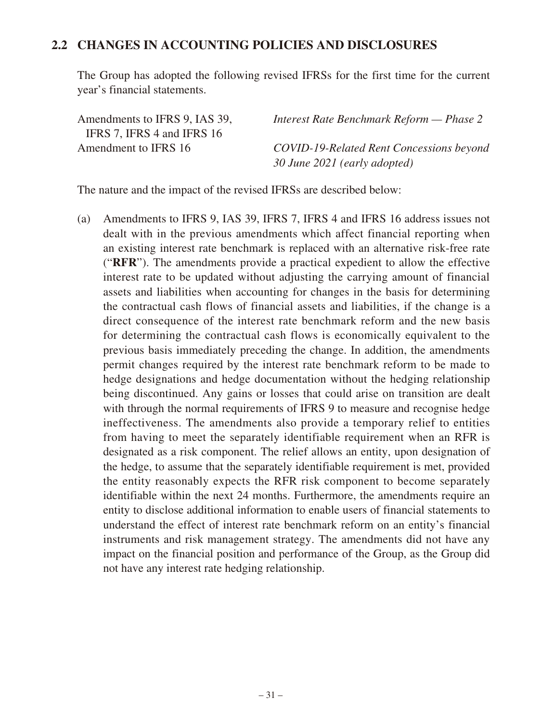### **2.2 CHANGES IN ACCOUNTING POLICIES AND DISCLOSURES**

The Group has adopted the following revised IFRSs for the first time for the current year's financial statements.

| Amendments to IFRS 9, IAS 39, | Interest Rate Benchmark Reform — Phase 2        |
|-------------------------------|-------------------------------------------------|
| IFRS 7, IFRS 4 and IFRS 16    |                                                 |
| Amendment to IFRS 16          | <b>COVID-19-Related Rent Concessions beyond</b> |
|                               | 30 June 2021 (early adopted)                    |

The nature and the impact of the revised IFRSs are described below:

(a) Amendments to IFRS 9, IAS 39, IFRS 7, IFRS 4 and IFRS 16 address issues not dealt with in the previous amendments which affect financial reporting when an existing interest rate benchmark is replaced with an alternative risk-free rate ("**RFR**"). The amendments provide a practical expedient to allow the effective interest rate to be updated without adjusting the carrying amount of financial assets and liabilities when accounting for changes in the basis for determining the contractual cash flows of financial assets and liabilities, if the change is a direct consequence of the interest rate benchmark reform and the new basis for determining the contractual cash flows is economically equivalent to the previous basis immediately preceding the change. In addition, the amendments permit changes required by the interest rate benchmark reform to be made to hedge designations and hedge documentation without the hedging relationship being discontinued. Any gains or losses that could arise on transition are dealt with through the normal requirements of IFRS 9 to measure and recognise hedge ineffectiveness. The amendments also provide a temporary relief to entities from having to meet the separately identifiable requirement when an RFR is designated as a risk component. The relief allows an entity, upon designation of the hedge, to assume that the separately identifiable requirement is met, provided the entity reasonably expects the RFR risk component to become separately identifiable within the next 24 months. Furthermore, the amendments require an entity to disclose additional information to enable users of financial statements to understand the effect of interest rate benchmark reform on an entity's financial instruments and risk management strategy. The amendments did not have any impact on the financial position and performance of the Group, as the Group did not have any interest rate hedging relationship.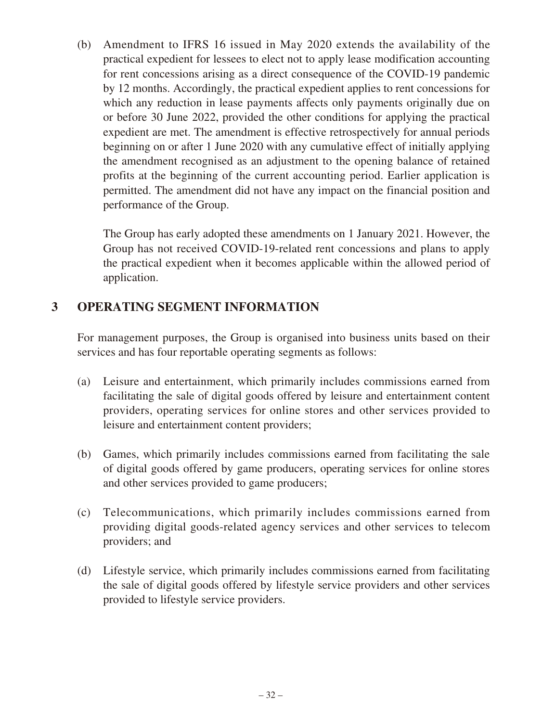(b) Amendment to IFRS 16 issued in May 2020 extends the availability of the practical expedient for lessees to elect not to apply lease modification accounting for rent concessions arising as a direct consequence of the COVID-19 pandemic by 12 months. Accordingly, the practical expedient applies to rent concessions for which any reduction in lease payments affects only payments originally due on or before 30 June 2022, provided the other conditions for applying the practical expedient are met. The amendment is effective retrospectively for annual periods beginning on or after 1 June 2020 with any cumulative effect of initially applying the amendment recognised as an adjustment to the opening balance of retained profits at the beginning of the current accounting period. Earlier application is permitted. The amendment did not have any impact on the financial position and performance of the Group.

The Group has early adopted these amendments on 1 January 2021. However, the Group has not received COVID-19-related rent concessions and plans to apply the practical expedient when it becomes applicable within the allowed period of application.

# **3 OPERATING SEGMENT INFORMATION**

For management purposes, the Group is organised into business units based on their services and has four reportable operating segments as follows:

- (a) Leisure and entertainment, which primarily includes commissions earned from facilitating the sale of digital goods offered by leisure and entertainment content providers, operating services for online stores and other services provided to leisure and entertainment content providers;
- (b) Games, which primarily includes commissions earned from facilitating the sale of digital goods offered by game producers, operating services for online stores and other services provided to game producers;
- (c) Telecommunications, which primarily includes commissions earned from providing digital goods-related agency services and other services to telecom providers; and
- (d) Lifestyle service, which primarily includes commissions earned from facilitating the sale of digital goods offered by lifestyle service providers and other services provided to lifestyle service providers.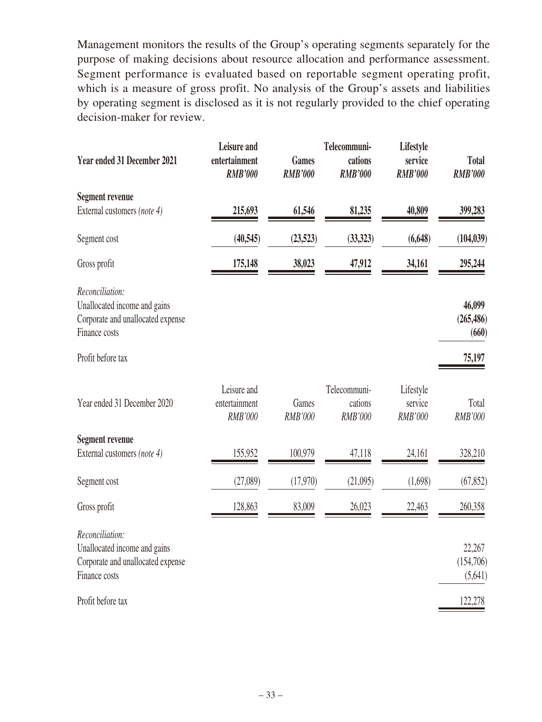Management monitors the results of the Group's operating segments separately for the purpose of making decisions about resource allocation and performance assessment. Segment performance is evaluated based on reportable segment operating profit, which is a measure of gross profit. No analysis of the Group's assets and liabilities by operating segment is disclosed as it is not regularly provided to the chief operating decision-maker for review.

| <b>Year ended 31 December 2021</b>                                                                    | Leisure and<br>entertainment<br><b>RMB'000</b> | <b>Games</b><br><b>RMB'000</b> | Telecommuni-<br>cations<br><b>RMB'000</b> | Lifestyle<br>service<br><b>RMB'000</b> | <b>Total</b><br><b>RMB'000</b> |
|-------------------------------------------------------------------------------------------------------|------------------------------------------------|--------------------------------|-------------------------------------------|----------------------------------------|--------------------------------|
| <b>Segment revenue</b>                                                                                |                                                |                                |                                           |                                        |                                |
| External customers (note 4)                                                                           | 215,693                                        | 61,546                         | 81,235                                    | 40,809                                 | 399,283                        |
| Segment cost                                                                                          | (40,545)                                       | (23,523)                       | (33,323)                                  | (6, 648)                               | (104, 039)                     |
| Gross profit                                                                                          | 175,148                                        | 38,023                         | 47,912                                    | 34,161                                 | 295,244                        |
| Reconciliation:<br>Unallocated income and gains<br>Corporate and unallocated expense<br>Finance costs |                                                |                                |                                           |                                        | 46,099<br>(265, 486)<br>(660)  |
| Profit before tax                                                                                     |                                                |                                |                                           |                                        | 75,197                         |
| Year ended 31 December 2020                                                                           | Leisure and<br>entertainment<br><b>RMB'000</b> | Games<br><b>RMB'000</b>        | Telecommuni-<br>cations<br><b>RMB'000</b> | Lifestyle<br>service<br><b>RMB'000</b> | Total<br><b>RMB'000</b>        |
| <b>Segment revenue</b>                                                                                |                                                |                                |                                           |                                        |                                |
| External customers (note 4)                                                                           | 155,952                                        | 100,979                        | 47,118                                    | 24,161                                 | 328,210                        |
| Segment cost                                                                                          | (27,089)                                       | (17,970)                       | (21,095)                                  | (1,698)                                | (67, 852)                      |
| Gross profit                                                                                          | 128,863                                        | 83,009                         | 26,023                                    | 22,463                                 | 260,358                        |
| Reconciliation:<br>Unallocated income and gains<br>Corporate and unallocated expense<br>Finance costs |                                                |                                |                                           |                                        | 22,267<br>(154,706)<br>(5,641) |
| Profit before tax                                                                                     |                                                |                                |                                           |                                        | 122,278                        |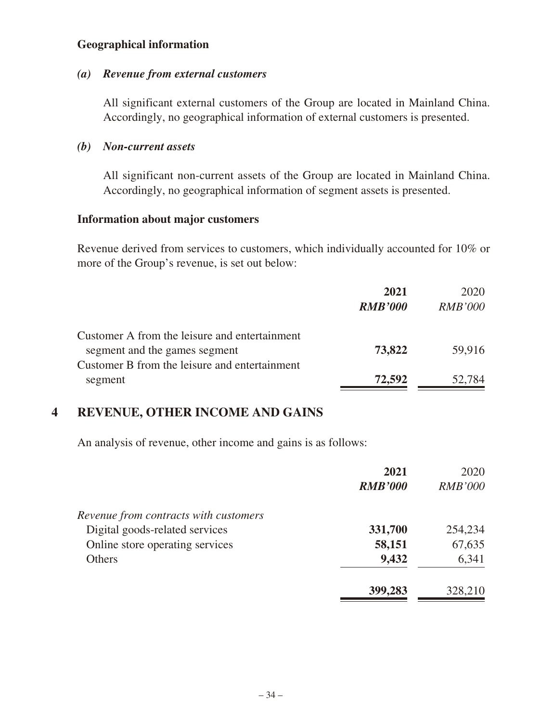### **Geographical information**

#### *(a) Revenue from external customers*

All significant external customers of the Group are located in Mainland China. Accordingly, no geographical information of external customers is presented.

### *(b) Non-current assets*

All significant non-current assets of the Group are located in Mainland China. Accordingly, no geographical information of segment assets is presented.

#### **Information about major customers**

Revenue derived from services to customers, which individually accounted for 10% or more of the Group's revenue, is set out below:

|                                               | 2021           | 2020           |
|-----------------------------------------------|----------------|----------------|
|                                               | <b>RMB'000</b> | <i>RMB'000</i> |
| Customer A from the leisure and entertainment |                |                |
| segment and the games segment                 | 73,822         | 59,916         |
| Customer B from the leisure and entertainment |                |                |
| segment                                       | 72,592         | 52,784         |

## **4 REVENUE, OTHER INCOME AND GAINS**

An analysis of revenue, other income and gains is as follows:

|                                       | 2021           | 2020           |
|---------------------------------------|----------------|----------------|
|                                       | <b>RMB'000</b> | <b>RMB'000</b> |
| Revenue from contracts with customers |                |                |
| Digital goods-related services        | 331,700        | 254,234        |
| Online store operating services       | 58,151         | 67,635         |
| Others                                | 9,432          | 6,341          |
|                                       | 399,283        | 328,210        |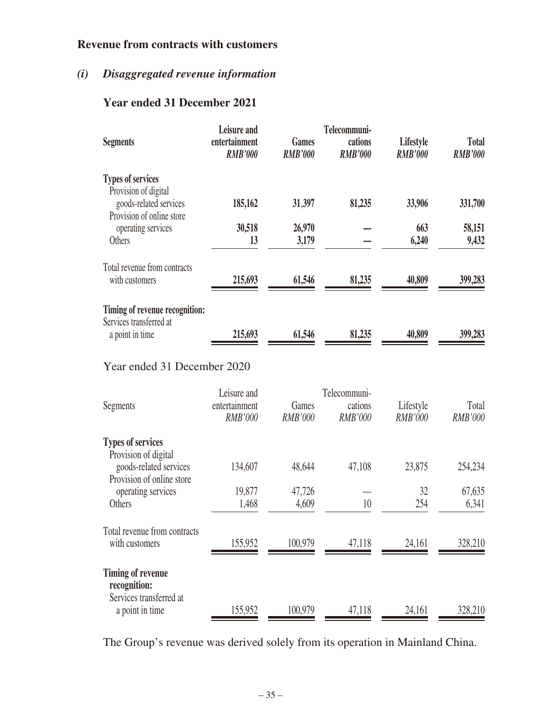# **Revenue from contracts with customers**

# *(i) Disaggregated revenue information*

# **Year ended 31 December 2021**

| <b>Segments</b>                                                             | Leisure and<br>entertainment<br><b>RMB'000</b> | <b>Games</b><br><b>RMB'000</b> | Telecommuni-<br>cations<br><b>RMB'000</b> | Lifestyle<br><b>RMB'000</b> | <b>Total</b><br><b>RMB'000</b> |
|-----------------------------------------------------------------------------|------------------------------------------------|--------------------------------|-------------------------------------------|-----------------------------|--------------------------------|
| <b>Types of services</b><br>Provision of digital                            |                                                |                                |                                           |                             |                                |
| goods-related services<br>Provision of online store                         | 185,162                                        | 31,397                         | 81,235                                    | 33,906                      | 331,700                        |
| operating services<br>Others                                                | 30,518<br>13                                   | 26,970<br>3,179                |                                           | 663<br>6,240                | 58,151<br>9,432                |
| Total revenue from contracts<br>with customers                              | 215,693                                        | 61,546                         | 81,235                                    | 40,809                      | 399,283                        |
| Timing of revenue recognition:                                              |                                                |                                |                                           |                             |                                |
| Services transferred at<br>a point in time                                  | 215,693                                        | 61,546                         | 81,235                                    | 40,809                      | 399,283                        |
| Year ended 31 December 2020                                                 |                                                |                                |                                           |                             |                                |
| Segments                                                                    | Leisure and<br>entertainment<br><b>RMB'000</b> | Games<br>RMB'000               | Telecommuni-<br>cations<br><b>RMB'000</b> | Lifestyle<br><b>RMB'000</b> | Total<br>RMB'000               |
| <b>Types of services</b>                                                    |                                                |                                |                                           |                             |                                |
| Provision of digital<br>goods-related services<br>Provision of online store | 134,607                                        | 48,644                         | 47,108                                    | 23,875                      | 254,234                        |
| operating services                                                          | 19,877                                         | 47,726                         |                                           | 32                          | 67,635                         |
| Others                                                                      | 1,468                                          | 4,609                          | 10                                        | 254                         | 6,341                          |
| Total revenue from contracts<br>with customers                              | 155,952                                        | 100,979                        | 47,118                                    | 24,161                      | 328,210                        |
| <b>Timing of revenue</b><br>recognition:                                    |                                                |                                |                                           |                             |                                |
| Services transferred at<br>a point in time                                  | 155,952                                        | 100,979                        | 47,118                                    | 24,161                      | 328,210                        |

The Group's revenue was derived solely from its operation in Mainland China.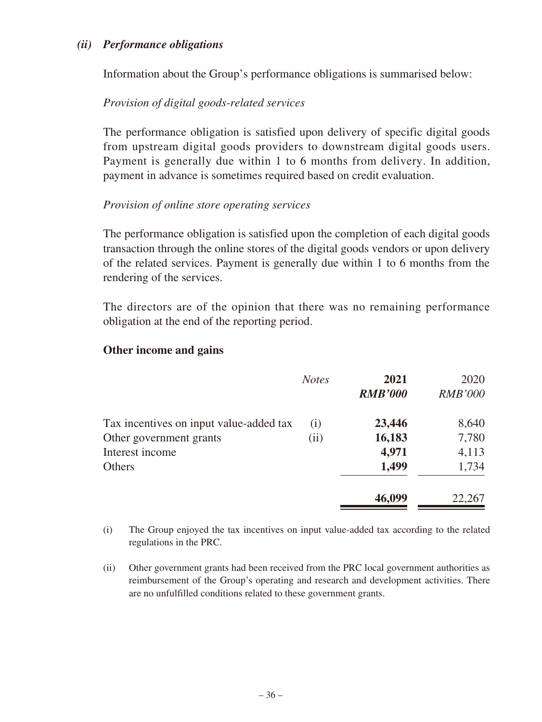### *(ii) Performance obligations*

Information about the Group's performance obligations is summarised below:

## *Provision of digital goods-related services*

The performance obligation is satisfied upon delivery of specific digital goods from upstream digital goods providers to downstream digital goods users. Payment is generally due within 1 to 6 months from delivery. In addition, payment in advance is sometimes required based on credit evaluation.

### *Provision of online store operating services*

The performance obligation is satisfied upon the completion of each digital goods transaction through the online stores of the digital goods vendors or upon delivery of the related services. Payment is generally due within 1 to 6 months from the rendering of the services.

The directors are of the opinion that there was no remaining performance obligation at the end of the reporting period.

### **Other income and gains**

|                                         | <b>Notes</b> | 2021<br><b>RMB'000</b> | 2020<br><b>RMB'000</b> |
|-----------------------------------------|--------------|------------------------|------------------------|
| Tax incentives on input value-added tax | (i)          | 23,446                 | 8,640                  |
| Other government grants                 | (ii)         | 16,183                 | 7,780                  |
| Interest income                         |              | 4,971                  | 4,113                  |
| <b>Others</b>                           |              | 1,499                  | 1,734                  |
|                                         |              | 46,099                 | 22,267                 |

(i) The Group enjoyed the tax incentives on input value-added tax according to the related regulations in the PRC.

(ii) Other government grants had been received from the PRC local government authorities as reimbursement of the Group's operating and research and development activities. There are no unfulfilled conditions related to these government grants.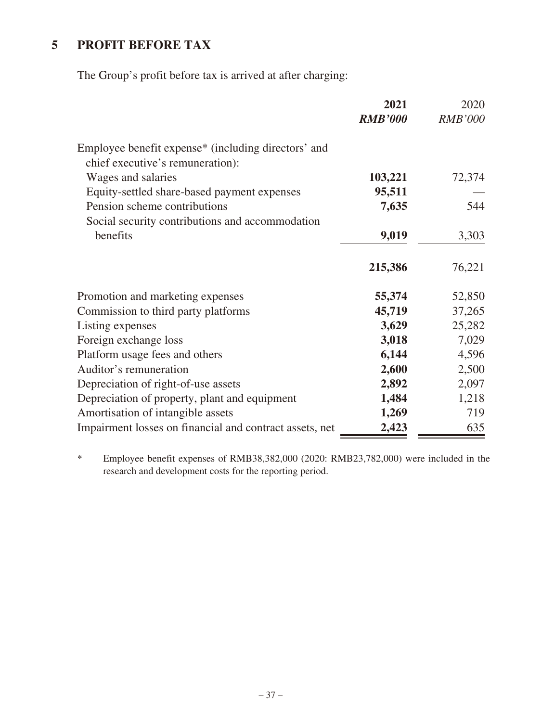# **5 PROFIT BEFORE TAX**

The Group's profit before tax is arrived at after charging:

|                                                                                                     | 2021           | 2020           |
|-----------------------------------------------------------------------------------------------------|----------------|----------------|
|                                                                                                     | <b>RMB'000</b> | <b>RMB'000</b> |
| Employee benefit expense <sup>*</sup> (including directors' and<br>chief executive's remuneration): |                |                |
| Wages and salaries                                                                                  | 103,221        | 72,374         |
| Equity-settled share-based payment expenses                                                         | 95,511         |                |
| Pension scheme contributions                                                                        | 7,635          | 544            |
| Social security contributions and accommodation                                                     |                |                |
| benefits                                                                                            | 9,019          | 3,303          |
|                                                                                                     | 215,386        | 76,221         |
| Promotion and marketing expenses                                                                    | 55,374         | 52,850         |
| Commission to third party platforms                                                                 | 45,719         | 37,265         |
| Listing expenses                                                                                    | 3,629          | 25,282         |
| Foreign exchange loss                                                                               | 3,018          | 7,029          |
| Platform usage fees and others                                                                      | 6,144          | 4,596          |
| Auditor's remuneration                                                                              | 2,600          | 2,500          |
| Depreciation of right-of-use assets                                                                 | 2,892          | 2,097          |
| Depreciation of property, plant and equipment                                                       | 1,484          | 1,218          |
| Amortisation of intangible assets                                                                   | 1,269          | 719            |
| Impairment losses on financial and contract assets, net                                             | 2,423          | 635            |

\* Employee benefit expenses of RMB38,382,000 (2020: RMB23,782,000) were included in the research and development costs for the reporting period.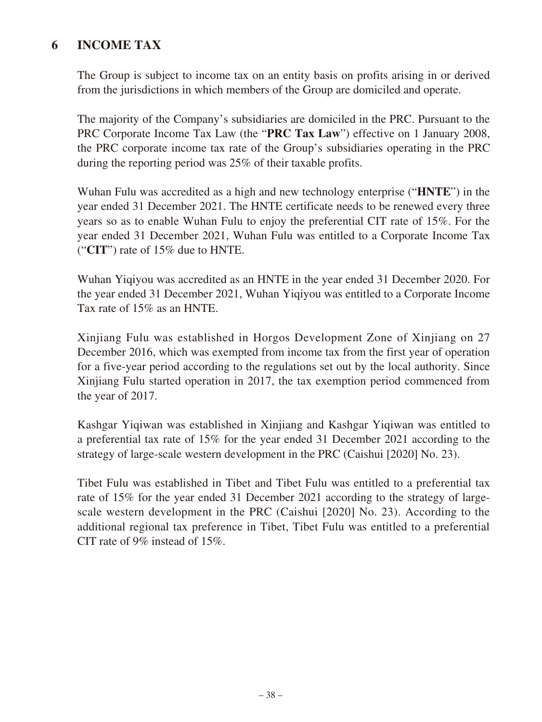# **6 INCOME TAX**

The Group is subject to income tax on an entity basis on profits arising in or derived from the jurisdictions in which members of the Group are domiciled and operate.

The majority of the Company's subsidiaries are domiciled in the PRC. Pursuant to the PRC Corporate Income Tax Law (the "**PRC Tax Law**") effective on 1 January 2008, the PRC corporate income tax rate of the Group's subsidiaries operating in the PRC during the reporting period was 25% of their taxable profits.

Wuhan Fulu was accredited as a high and new technology enterprise ("**HNTE**") in the year ended 31 December 2021. The HNTE certificate needs to be renewed every three years so as to enable Wuhan Fulu to enjoy the preferential CIT rate of 15%. For the year ended 31 December 2021, Wuhan Fulu was entitled to a Corporate Income Tax ("**CIT**") rate of 15% due to HNTE.

Wuhan Yiqiyou was accredited as an HNTE in the year ended 31 December 2020. For the year ended 31 December 2021, Wuhan Yiqiyou was entitled to a Corporate Income Tax rate of 15% as an HNTE.

Xinjiang Fulu was established in Horgos Development Zone of Xinjiang on 27 December 2016, which was exempted from income tax from the first year of operation for a five-year period according to the regulations set out by the local authority. Since Xinjiang Fulu started operation in 2017, the tax exemption period commenced from the year of 2017.

Kashgar Yiqiwan was established in Xinjiang and Kashgar Yiqiwan was entitled to a preferential tax rate of 15% for the year ended 31 December 2021 according to the strategy of large-scale western development in the PRC (Caishui [2020] No. 23).

Tibet Fulu was established in Tibet and Tibet Fulu was entitled to a preferential tax rate of 15% for the year ended 31 December 2021 according to the strategy of largescale western development in the PRC (Caishui [2020] No. 23). According to the additional regional tax preference in Tibet, Tibet Fulu was entitled to a preferential CIT rate of 9% instead of 15%.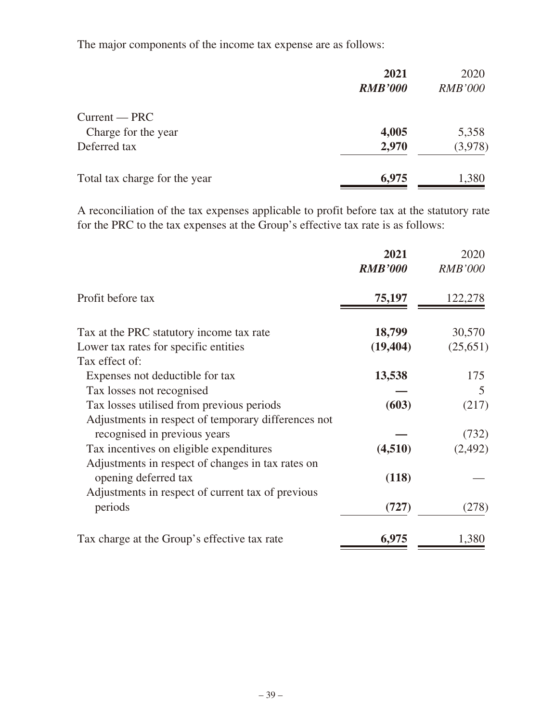The major components of the income tax expense are as follows:

|                               | 2021           | 2020           |
|-------------------------------|----------------|----------------|
|                               | <b>RMB'000</b> | <b>RMB'000</b> |
| $Current - PRC$               |                |                |
| Charge for the year           | 4,005          | 5,358          |
| Deferred tax                  | 2,970          | (3,978)        |
| Total tax charge for the year | 6,975          | 1,380          |

A reconciliation of the tax expenses applicable to profit before tax at the statutory rate for the PRC to the tax expenses at the Group's effective tax rate is as follows:

|                                                     | 2021<br><b>RMB'000</b> | 2020<br><b>RMB'000</b> |
|-----------------------------------------------------|------------------------|------------------------|
| Profit before tax                                   | 75,197                 | 122,278                |
| Tax at the PRC statutory income tax rate            | 18,799                 | 30,570                 |
| Lower tax rates for specific entities               | (19, 404)              | (25,651)               |
| Tax effect of:                                      |                        |                        |
| Expenses not deductible for tax                     | 13,538                 | 175                    |
| Tax losses not recognised                           |                        | 5                      |
| Tax losses utilised from previous periods           | (603)                  | (217)                  |
| Adjustments in respect of temporary differences not |                        |                        |
| recognised in previous years                        |                        | (732)                  |
| Tax incentives on eligible expenditures             | (4,510)                | (2, 492)               |
| Adjustments in respect of changes in tax rates on   |                        |                        |
| opening deferred tax                                | (118)                  |                        |
| Adjustments in respect of current tax of previous   |                        |                        |
| periods                                             | (727)                  | (278)                  |
| Tax charge at the Group's effective tax rate        | 6,975                  | 1,380                  |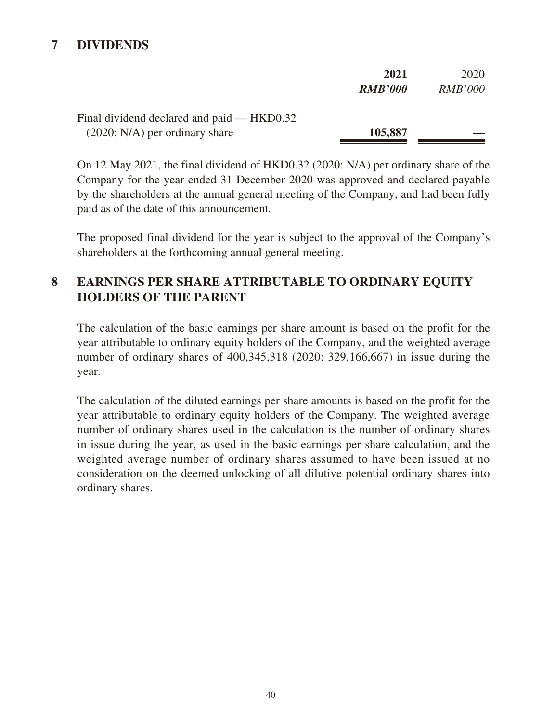# **7 DIVIDENDS**

|                                            | 2021           | 2020           |
|--------------------------------------------|----------------|----------------|
|                                            | <b>RMB'000</b> | <i>RMB'000</i> |
| Final dividend declared and paid — HKD0.32 |                |                |
| $(2020: N/A)$ per ordinary share           | 105,887        |                |

On 12 May 2021, the final dividend of HKD0.32 (2020: N/A) per ordinary share of the Company for the year ended 31 December 2020 was approved and declared payable by the shareholders at the annual general meeting of the Company, and had been fully paid as of the date of this announcement.

The proposed final dividend for the year is subject to the approval of the Company's shareholders at the forthcoming annual general meeting.

# **8 EARNINGS PER SHARE ATTRIBUTABLE TO ORDINARY EQUITY HOLDERS OF THE PARENT**

The calculation of the basic earnings per share amount is based on the profit for the year attributable to ordinary equity holders of the Company, and the weighted average number of ordinary shares of 400,345,318 (2020: 329,166,667) in issue during the year.

The calculation of the diluted earnings per share amounts is based on the profit for the year attributable to ordinary equity holders of the Company. The weighted average number of ordinary shares used in the calculation is the number of ordinary shares in issue during the year, as used in the basic earnings per share calculation, and the weighted average number of ordinary shares assumed to have been issued at no consideration on the deemed unlocking of all dilutive potential ordinary shares into ordinary shares.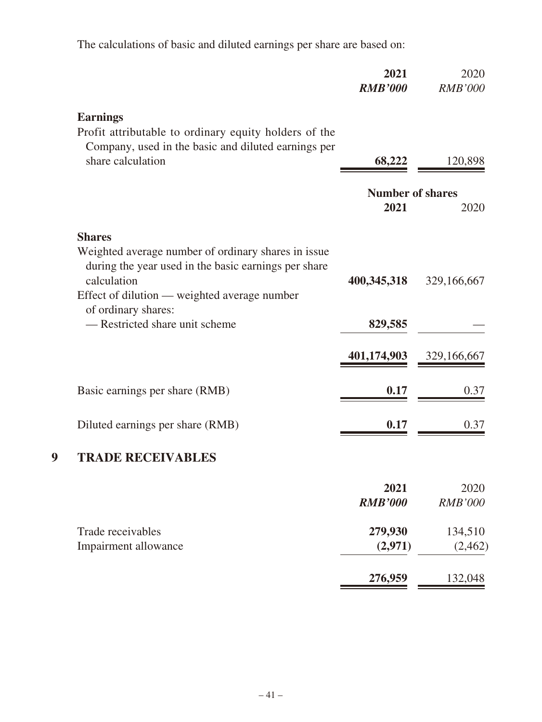The calculations of basic and diluted earnings per share are based on:

|                                                                                                                            | 2021<br><b>RMB'000</b>          | 2020<br><b>RMB'000</b> |
|----------------------------------------------------------------------------------------------------------------------------|---------------------------------|------------------------|
| <b>Earnings</b><br>Profit attributable to ordinary equity holders of the                                                   |                                 |                        |
| Company, used in the basic and diluted earnings per<br>share calculation                                                   | 68,222                          | 120,898                |
|                                                                                                                            | <b>Number of shares</b><br>2021 | 2020                   |
| <b>Shares</b>                                                                                                              |                                 |                        |
| Weighted average number of ordinary shares in issue<br>during the year used in the basic earnings per share<br>calculation | 400,345,318                     | 329,166,667            |
| Effect of dilution — weighted average number<br>of ordinary shares:<br>— Restricted share unit scheme                      | 829,585                         |                        |
|                                                                                                                            | 401,174,903                     | 329,166,667            |
| Basic earnings per share (RMB)                                                                                             | 0.17                            | 0.37                   |
| Diluted earnings per share (RMB)                                                                                           | 0.17                            | 0.37                   |
| <b>TRADE RECEIVABLES</b>                                                                                                   |                                 |                        |
|                                                                                                                            | 2021<br><b>RMB'000</b>          | 2020<br><b>RMB'000</b> |
| Trade receivables<br>Impairment allowance                                                                                  | 279,930<br>(2,971)              | 134,510<br>(2, 462)    |
|                                                                                                                            | 276,959                         | 132,048                |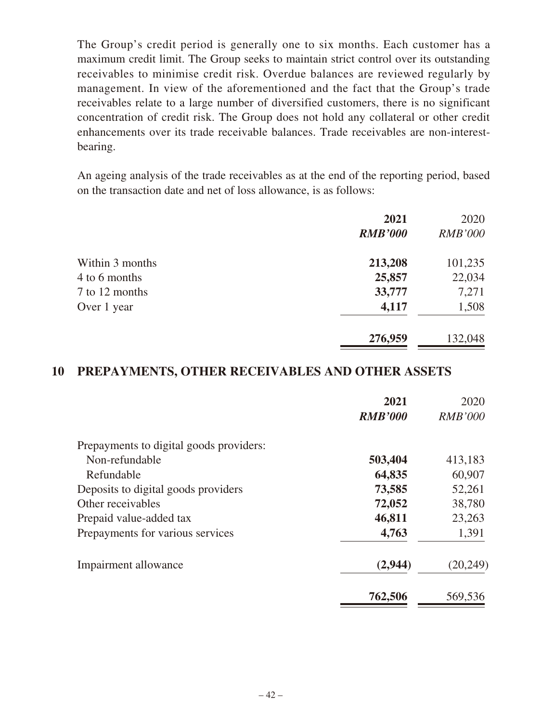The Group's credit period is generally one to six months. Each customer has a maximum credit limit. The Group seeks to maintain strict control over its outstanding receivables to minimise credit risk. Overdue balances are reviewed regularly by management. In view of the aforementioned and the fact that the Group's trade receivables relate to a large number of diversified customers, there is no significant concentration of credit risk. The Group does not hold any collateral or other credit enhancements over its trade receivable balances. Trade receivables are non-interestbearing.

An ageing analysis of the trade receivables as at the end of the reporting period, based on the transaction date and net of loss allowance, is as follows:

|                 | 2021           | 2020           |
|-----------------|----------------|----------------|
|                 | <b>RMB'000</b> | <i>RMB'000</i> |
| Within 3 months | 213,208        | 101,235        |
| 4 to 6 months   | 25,857         | 22,034         |
| 7 to 12 months  | 33,777         | 7,271          |
| Over 1 year     | 4,117          | 1,508          |
|                 | 276,959        | 132,048        |

## **10 PREPAYMENTS, OTHER RECEIVABLES AND OTHER ASSETS**

|                                         | 2021           | 2020           |
|-----------------------------------------|----------------|----------------|
|                                         | <b>RMB'000</b> | <b>RMB'000</b> |
| Prepayments to digital goods providers: |                |                |
| Non-refundable                          | 503,404        | 413,183        |
| Refundable                              | 64,835         | 60,907         |
| Deposits to digital goods providers     | 73,585         | 52,261         |
| Other receivables                       | 72,052         | 38,780         |
| Prepaid value-added tax                 | 46,811         | 23,263         |
| Prepayments for various services        | 4,763          | 1,391          |
| Impairment allowance                    | (2,944)        | (20, 249)      |
|                                         | 762,506        | 569,536        |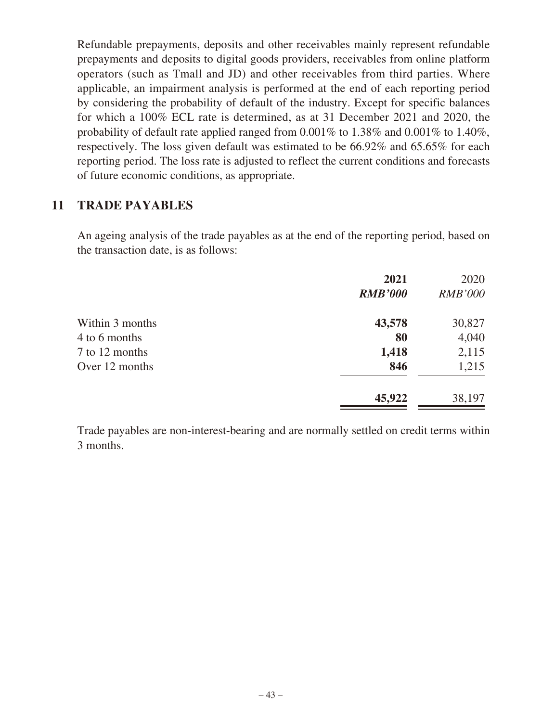Refundable prepayments, deposits and other receivables mainly represent refundable prepayments and deposits to digital goods providers, receivables from online platform operators (such as Tmall and JD) and other receivables from third parties. Where applicable, an impairment analysis is performed at the end of each reporting period by considering the probability of default of the industry. Except for specific balances for which a 100% ECL rate is determined, as at 31 December 2021 and 2020, the probability of default rate applied ranged from 0.001% to 1.38% and 0.001% to 1.40%, respectively. The loss given default was estimated to be 66.92% and 65.65% for each reporting period. The loss rate is adjusted to reflect the current conditions and forecasts of future economic conditions, as appropriate.

## **11 TRADE PAYABLES**

An ageing analysis of the trade payables as at the end of the reporting period, based on the transaction date, is as follows:

|                 | 2021           | 2020           |
|-----------------|----------------|----------------|
|                 | <b>RMB'000</b> | <b>RMB'000</b> |
| Within 3 months | 43,578         | 30,827         |
| 4 to 6 months   | 80             | 4,040          |
| 7 to 12 months  | 1,418          | 2,115          |
| Over 12 months  | 846            | 1,215          |
|                 | 45,922         | 38,197         |

Trade payables are non-interest-bearing and are normally settled on credit terms within 3 months.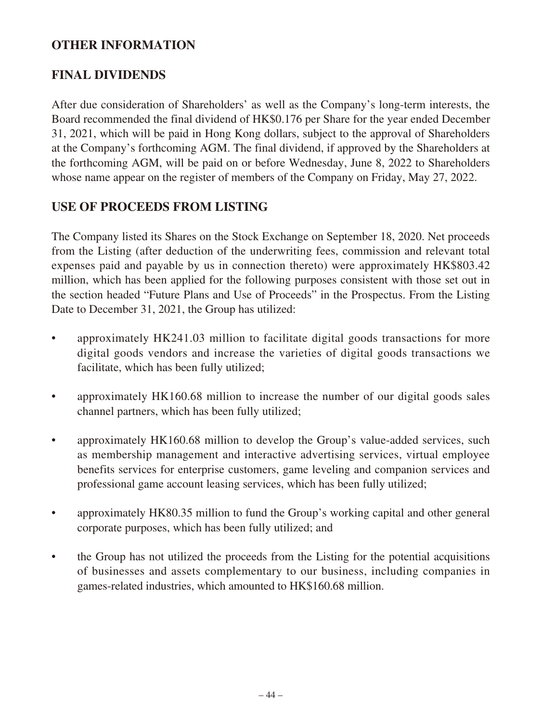## **OTHER INFORMATION**

## **FINAL DIVIDENDS**

After due consideration of Shareholders' as well as the Company's long-term interests, the Board recommended the final dividend of HK\$0.176 per Share for the year ended December 31, 2021, which will be paid in Hong Kong dollars, subject to the approval of Shareholders at the Company's forthcoming AGM. The final dividend, if approved by the Shareholders at the forthcoming AGM, will be paid on or before Wednesday, June 8, 2022 to Shareholders whose name appear on the register of members of the Company on Friday, May 27, 2022.

# **USE OF PROCEEDS FROM LISTING**

The Company listed its Shares on the Stock Exchange on September 18, 2020. Net proceeds from the Listing (after deduction of the underwriting fees, commission and relevant total expenses paid and payable by us in connection thereto) were approximately HK\$803.42 million, which has been applied for the following purposes consistent with those set out in the section headed "Future Plans and Use of Proceeds" in the Prospectus. From the Listing Date to December 31, 2021, the Group has utilized:

- approximately HK241.03 million to facilitate digital goods transactions for more digital goods vendors and increase the varieties of digital goods transactions we facilitate, which has been fully utilized;
- approximately HK160.68 million to increase the number of our digital goods sales channel partners, which has been fully utilized;
- approximately HK160.68 million to develop the Group's value-added services, such as membership management and interactive advertising services, virtual employee benefits services for enterprise customers, game leveling and companion services and professional game account leasing services, which has been fully utilized;
- approximately HK80.35 million to fund the Group's working capital and other general corporate purposes, which has been fully utilized; and
- the Group has not utilized the proceeds from the Listing for the potential acquisitions of businesses and assets complementary to our business, including companies in games-related industries, which amounted to HK\$160.68 million.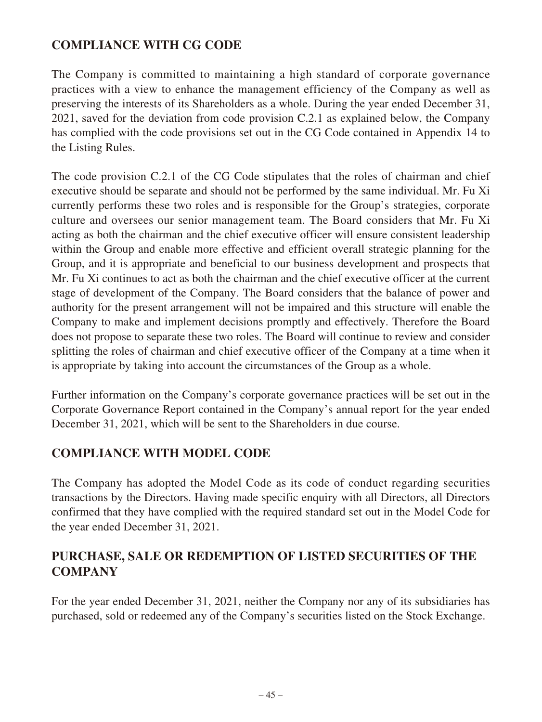# **COMPLIANCE WITH CG CODE**

The Company is committed to maintaining a high standard of corporate governance practices with a view to enhance the management efficiency of the Company as well as preserving the interests of its Shareholders as a whole. During the year ended December 31, 2021, saved for the deviation from code provision C.2.1 as explained below, the Company has complied with the code provisions set out in the CG Code contained in Appendix 14 to the Listing Rules.

The code provision C.2.1 of the CG Code stipulates that the roles of chairman and chief executive should be separate and should not be performed by the same individual. Mr. Fu Xi currently performs these two roles and is responsible for the Group's strategies, corporate culture and oversees our senior management team. The Board considers that Mr. Fu Xi acting as both the chairman and the chief executive officer will ensure consistent leadership within the Group and enable more effective and efficient overall strategic planning for the Group, and it is appropriate and beneficial to our business development and prospects that Mr. Fu Xi continues to act as both the chairman and the chief executive officer at the current stage of development of the Company. The Board considers that the balance of power and authority for the present arrangement will not be impaired and this structure will enable the Company to make and implement decisions promptly and effectively. Therefore the Board does not propose to separate these two roles. The Board will continue to review and consider splitting the roles of chairman and chief executive officer of the Company at a time when it is appropriate by taking into account the circumstances of the Group as a whole.

Further information on the Company's corporate governance practices will be set out in the Corporate Governance Report contained in the Company's annual report for the year ended December 31, 2021, which will be sent to the Shareholders in due course.

## **COMPLIANCE WITH MODEL CODE**

The Company has adopted the Model Code as its code of conduct regarding securities transactions by the Directors. Having made specific enquiry with all Directors, all Directors confirmed that they have complied with the required standard set out in the Model Code for the year ended December 31, 2021.

# **PURCHASE, SALE OR REDEMPTION OF LISTED SECURITIES OF THE COMPANY**

For the year ended December 31, 2021, neither the Company nor any of its subsidiaries has purchased, sold or redeemed any of the Company's securities listed on the Stock Exchange.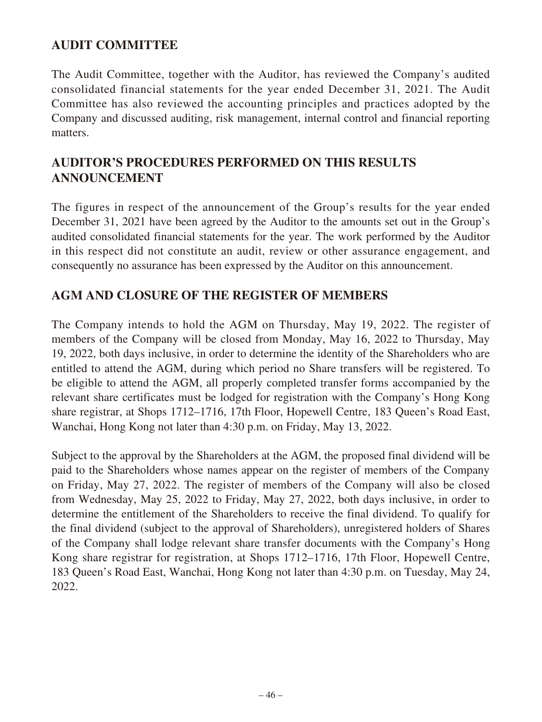# **AUDIT COMMITTEE**

The Audit Committee, together with the Auditor, has reviewed the Company's audited consolidated financial statements for the year ended December 31, 2021. The Audit Committee has also reviewed the accounting principles and practices adopted by the Company and discussed auditing, risk management, internal control and financial reporting matters.

# **AUDITOR'S PROCEDURES PERFORMED ON THIS RESULTS ANNOUNCEMENT**

The figures in respect of the announcement of the Group's results for the year ended December 31, 2021 have been agreed by the Auditor to the amounts set out in the Group's audited consolidated financial statements for the year. The work performed by the Auditor in this respect did not constitute an audit, review or other assurance engagement, and consequently no assurance has been expressed by the Auditor on this announcement.

## **AGM AND CLOSURE OF THE REGISTER OF MEMBERS**

The Company intends to hold the AGM on Thursday, May 19, 2022. The register of members of the Company will be closed from Monday, May 16, 2022 to Thursday, May 19, 2022, both days inclusive, in order to determine the identity of the Shareholders who are entitled to attend the AGM, during which period no Share transfers will be registered. To be eligible to attend the AGM, all properly completed transfer forms accompanied by the relevant share certificates must be lodged for registration with the Company's Hong Kong share registrar, at Shops 1712–1716, 17th Floor, Hopewell Centre, 183 Queen's Road East, Wanchai, Hong Kong not later than 4:30 p.m. on Friday, May 13, 2022.

Subject to the approval by the Shareholders at the AGM, the proposed final dividend will be paid to the Shareholders whose names appear on the register of members of the Company on Friday, May 27, 2022. The register of members of the Company will also be closed from Wednesday, May 25, 2022 to Friday, May 27, 2022, both days inclusive, in order to determine the entitlement of the Shareholders to receive the final dividend. To qualify for the final dividend (subject to the approval of Shareholders), unregistered holders of Shares of the Company shall lodge relevant share transfer documents with the Company's Hong Kong share registrar for registration, at Shops 1712–1716, 17th Floor, Hopewell Centre, 183 Queen's Road East, Wanchai, Hong Kong not later than 4:30 p.m. on Tuesday, May 24, 2022.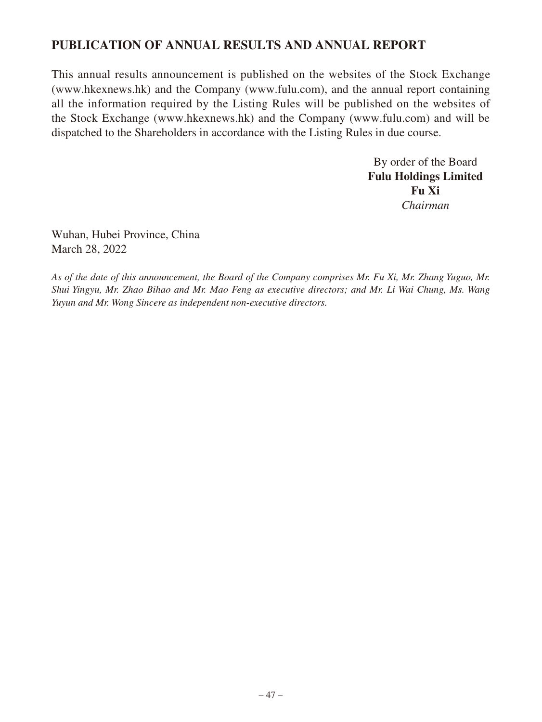## **PUBLICATION OF ANNUAL RESULTS AND ANNUAL REPORT**

This annual results announcement is published on the websites of the Stock Exchange (www.hkexnews.hk) and the Company (www.fulu.com), and the annual report containing all the information required by the Listing Rules will be published on the websites of the Stock Exchange (www.hkexnews.hk) and the Company (www.fulu.com) and will be dispatched to the Shareholders in accordance with the Listing Rules in due course.

> By order of the Board **Fulu Holdings Limited Fu Xi** *Chairman*

Wuhan, Hubei Province, China March 28, 2022

*As of the date of this announcement, the Board of the Company comprises Mr. Fu Xi, Mr. Zhang Yuguo, Mr. Shui Yingyu, Mr. Zhao Bihao and Mr. Mao Feng as executive directors; and Mr. Li Wai Chung, Ms. Wang Yuyun and Mr. Wong Sincere as independent non-executive directors.*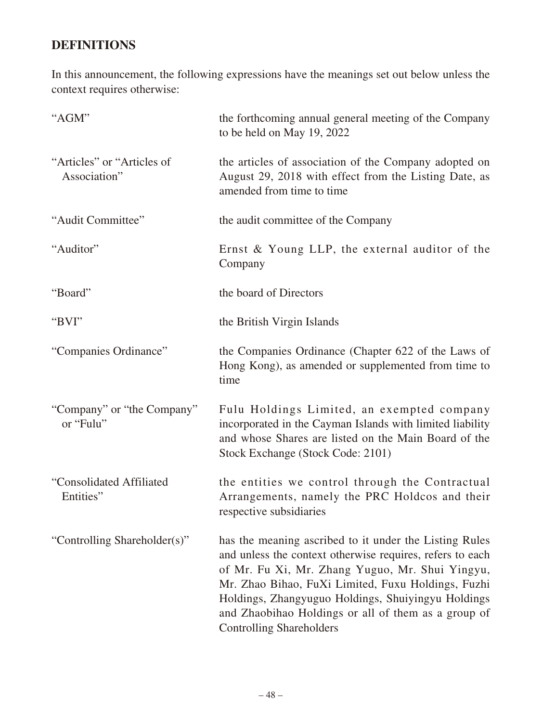# **DEFINITIONS**

In this announcement, the following expressions have the meanings set out below unless the context requires otherwise:

| "AGM"                                      | the forthcoming annual general meeting of the Company<br>to be held on May 19, 2022                                                                                                                                                                                                                                                                                          |
|--------------------------------------------|------------------------------------------------------------------------------------------------------------------------------------------------------------------------------------------------------------------------------------------------------------------------------------------------------------------------------------------------------------------------------|
| "Articles" or "Articles of<br>Association" | the articles of association of the Company adopted on<br>August 29, 2018 with effect from the Listing Date, as<br>amended from time to time                                                                                                                                                                                                                                  |
| "Audit Committee"                          | the audit committee of the Company                                                                                                                                                                                                                                                                                                                                           |
| "Auditor"                                  | Ernst & Young LLP, the external auditor of the<br>Company                                                                                                                                                                                                                                                                                                                    |
| "Board"                                    | the board of Directors                                                                                                                                                                                                                                                                                                                                                       |
| "BVI"                                      | the British Virgin Islands                                                                                                                                                                                                                                                                                                                                                   |
| "Companies Ordinance"                      | the Companies Ordinance (Chapter 622 of the Laws of<br>Hong Kong), as amended or supplemented from time to<br>time                                                                                                                                                                                                                                                           |
| "Company" or "the Company"<br>or "Fulu"    | Fulu Holdings Limited, an exempted company<br>incorporated in the Cayman Islands with limited liability<br>and whose Shares are listed on the Main Board of the<br>Stock Exchange (Stock Code: 2101)                                                                                                                                                                         |
| "Consolidated Affiliated<br>Entities"      | the entities we control through the Contractual<br>Arrangements, namely the PRC Holdcos and their<br>respective subsidiaries                                                                                                                                                                                                                                                 |
| "Controlling Shareholder(s)"               | has the meaning ascribed to it under the Listing Rules<br>and unless the context otherwise requires, refers to each<br>of Mr. Fu Xi, Mr. Zhang Yuguo, Mr. Shui Yingyu,<br>Mr. Zhao Bihao, FuXi Limited, Fuxu Holdings, Fuzhi<br>Holdings, Zhangyuguo Holdings, Shuiyingyu Holdings<br>and Zhaobihao Holdings or all of them as a group of<br><b>Controlling Shareholders</b> |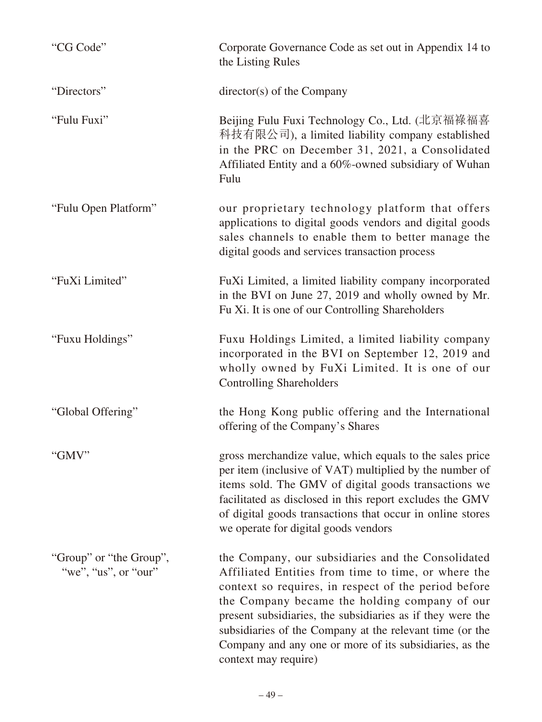| "CG Code"                                       | Corporate Governance Code as set out in Appendix 14 to<br>the Listing Rules                                                                                                                                                                                                                                                                                                                                                     |
|-------------------------------------------------|---------------------------------------------------------------------------------------------------------------------------------------------------------------------------------------------------------------------------------------------------------------------------------------------------------------------------------------------------------------------------------------------------------------------------------|
| "Directors"                                     | director(s) of the Company                                                                                                                                                                                                                                                                                                                                                                                                      |
| "Fulu Fuxi"                                     | Beijing Fulu Fuxi Technology Co., Ltd. (北京福祿福喜<br>科技有限公司), a limited liability company established<br>in the PRC on December 31, 2021, a Consolidated<br>Affiliated Entity and a 60%-owned subsidiary of Wuhan<br>Fulu                                                                                                                                                                                                          |
| "Fulu Open Platform"                            | our proprietary technology platform that offers<br>applications to digital goods vendors and digital goods<br>sales channels to enable them to better manage the<br>digital goods and services transaction process                                                                                                                                                                                                              |
| "FuXi Limited"                                  | FuXi Limited, a limited liability company incorporated<br>in the BVI on June 27, 2019 and wholly owned by Mr.<br>Fu Xi. It is one of our Controlling Shareholders                                                                                                                                                                                                                                                               |
| "Fuxu Holdings"                                 | Fuxu Holdings Limited, a limited liability company<br>incorporated in the BVI on September 12, 2019 and<br>wholly owned by FuXi Limited. It is one of our<br><b>Controlling Shareholders</b>                                                                                                                                                                                                                                    |
| "Global Offering"                               | the Hong Kong public offering and the International<br>offering of the Company's Shares                                                                                                                                                                                                                                                                                                                                         |
| "GMV"                                           | gross merchandize value, which equals to the sales price<br>per item (inclusive of VAT) multiplied by the number of<br>items sold. The GMV of digital goods transactions we<br>facilitated as disclosed in this report excludes the GMV<br>of digital goods transactions that occur in online stores<br>we operate for digital goods vendors                                                                                    |
| "Group" or "the Group",<br>"we", "us", or "our" | the Company, our subsidiaries and the Consolidated<br>Affiliated Entities from time to time, or where the<br>context so requires, in respect of the period before<br>the Company became the holding company of our<br>present subsidiaries, the subsidiaries as if they were the<br>subsidiaries of the Company at the relevant time (or the<br>Company and any one or more of its subsidiaries, as the<br>context may require) |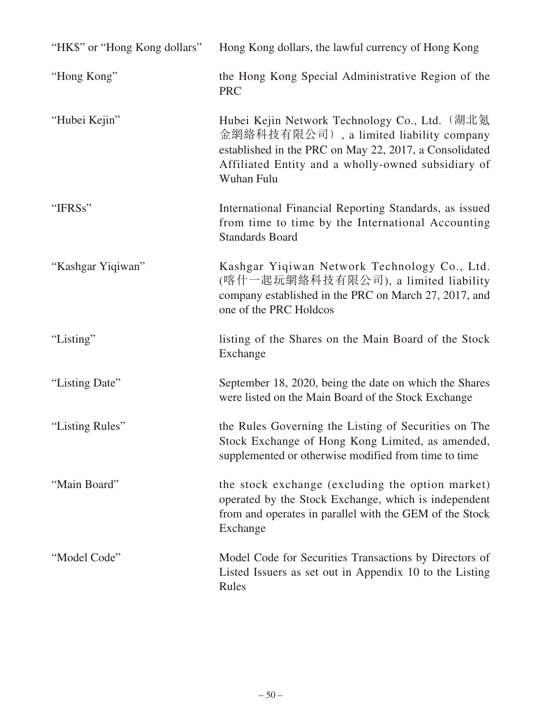| "HK\$" or "Hong Kong dollars" | Hong Kong dollars, the lawful currency of Hong Kong                                                                                                                                                                    |
|-------------------------------|------------------------------------------------------------------------------------------------------------------------------------------------------------------------------------------------------------------------|
| "Hong Kong"                   | the Hong Kong Special Administrative Region of the<br><b>PRC</b>                                                                                                                                                       |
| "Hubei Kejin"                 | Hubei Kejin Network Technology Co., Ltd. (湖北氪<br>金網絡科技有限公司), a limited liability company<br>established in the PRC on May 22, 2017, a Consolidated<br>Affiliated Entity and a wholly-owned subsidiary of<br>Wuhan Fulu |
| "IFRSs"                       | International Financial Reporting Standards, as issued<br>from time to time by the International Accounting<br><b>Standards Board</b>                                                                                  |
| "Kashgar Yiqiwan"             | Kashgar Yiqiwan Network Technology Co., Ltd.<br>(喀什一起玩網絡科技有限公司), a limited liability<br>company established in the PRC on March 27, 2017, and<br>one of the PRC Holdcos                                                |
| "Listing"                     | listing of the Shares on the Main Board of the Stock<br>Exchange                                                                                                                                                       |
| "Listing Date"                | September 18, 2020, being the date on which the Shares<br>were listed on the Main Board of the Stock Exchange                                                                                                          |
| "Listing Rules"               | the Rules Governing the Listing of Securities on The<br>Stock Exchange of Hong Kong Limited, as amended,<br>supplemented or otherwise modified from time to time                                                       |
| "Main Board"                  | the stock exchange (excluding the option market)<br>operated by the Stock Exchange, which is independent<br>from and operates in parallel with the GEM of the Stock<br>Exchange                                        |
| "Model Code"                  | Model Code for Securities Transactions by Directors of<br>Listed Issuers as set out in Appendix 10 to the Listing<br>Rules                                                                                             |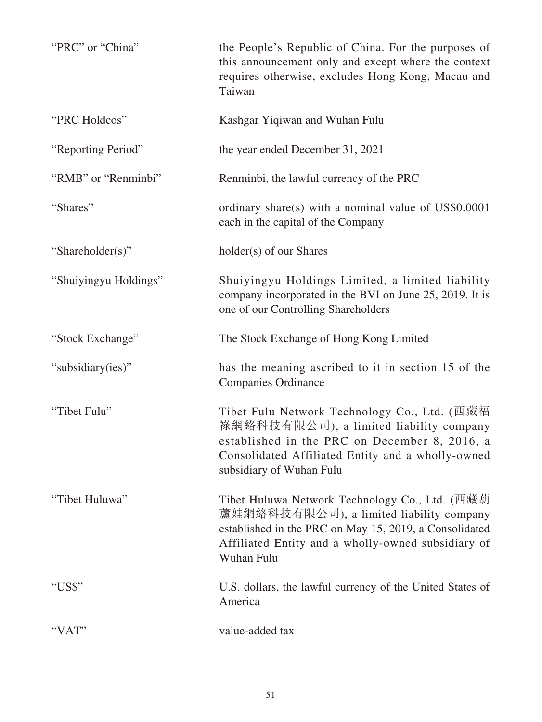| "PRC" or "China"      | the People's Republic of China. For the purposes of<br>this announcement only and except where the context<br>requires otherwise, excludes Hong Kong, Macau and<br>Taiwan                                                 |
|-----------------------|---------------------------------------------------------------------------------------------------------------------------------------------------------------------------------------------------------------------------|
| "PRC Holdcos"         | Kashgar Yiqiwan and Wuhan Fulu                                                                                                                                                                                            |
| "Reporting Period"    | the year ended December 31, 2021                                                                                                                                                                                          |
| "RMB" or "Renminbi"   | Renminbi, the lawful currency of the PRC                                                                                                                                                                                  |
| "Shares"              | ordinary share(s) with a nominal value of US\$0.0001<br>each in the capital of the Company                                                                                                                                |
| "Shareholder(s)"      | holder(s) of our Shares                                                                                                                                                                                                   |
| "Shuiyingyu Holdings" | Shuiyingyu Holdings Limited, a limited liability<br>company incorporated in the BVI on June 25, 2019. It is<br>one of our Controlling Shareholders                                                                        |
| "Stock Exchange"      | The Stock Exchange of Hong Kong Limited                                                                                                                                                                                   |
| "subsidiary(ies)"     | has the meaning ascribed to it in section 15 of the<br><b>Companies Ordinance</b>                                                                                                                                         |
| "Tibet Fulu"          | Tibet Fulu Network Technology Co., Ltd. (西藏福<br>祿網絡科技有限公司), a limited liability company<br>established in the PRC on December 8, 2016, a<br>Consolidated Affiliated Entity and a wholly-owned<br>subsidiary of Wuhan Fulu |
| "Tibet Huluwa"        | Tibet Huluwa Network Technology Co., Ltd. (西藏葫<br>蘆娃網絡科技有限公司), a limited liability company<br>established in the PRC on May 15, 2019, a Consolidated<br>Affiliated Entity and a wholly-owned subsidiary of<br>Wuhan Fulu  |
| "US\$"                | U.S. dollars, the lawful currency of the United States of<br>America                                                                                                                                                      |
| "VAT"                 | value-added tax                                                                                                                                                                                                           |